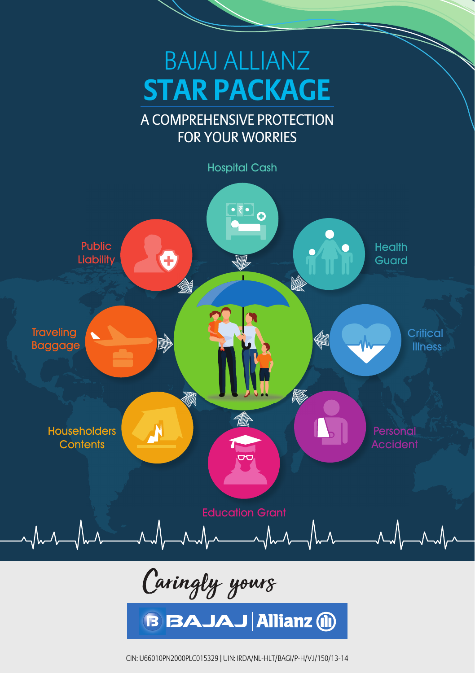

Caringly yours

**B BAJAJ Allianz (ii)** 

CIN: U66010PN2000PLC015329, UIN: IRDA/NL-HLT/BAGI/P-H/V.I/150/13-14 1 CIN: U66010PN2000PLC015329 | UIN: IRDA/NL-HLT/BAGI/P-H/V.I/150/13-14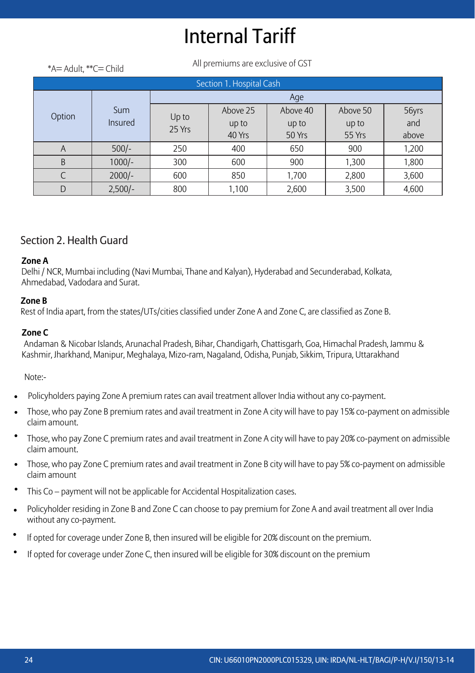# Internal Tariff

All premiums are exclusive of GST \*A= Adult, \*\*C= Child

| Section 1. Hospital Cash |           |                 |          |          |          |       |  |  |  |
|--------------------------|-----------|-----------------|----------|----------|----------|-------|--|--|--|
|                          |           | Age             |          |          |          |       |  |  |  |
| Option                   | Sum       |                 | Above 25 | Above 40 | Above 50 | 56yrs |  |  |  |
|                          | Insured   | Up to<br>25 Yrs | up to    | up to    | up to    | and   |  |  |  |
|                          |           |                 | 40 Yrs   | 50 Yrs   | 55 Yrs   | above |  |  |  |
| A                        | $500/-$   | 250             | 400      | 650      | 900      | 1,200 |  |  |  |
| B                        | $1000/-$  | 300             | 600      | 900      | 1,300    | 1,800 |  |  |  |
|                          | $2000/-$  | 600             | 850      | 1,700    | 2,800    | 3,600 |  |  |  |
| D                        | $2,500/-$ | 800             | 1,100    | 2,600    | 3,500    | 4,600 |  |  |  |

#### Section 2. Health Guard

#### **Zone A**

Delhi / NCR, Mumbai including (Navi Mumbai, Thane and Kalyan), Hyderabad and Secunderabad, Kolkata, Ahmedabad, Vadodara and Surat.

#### **Zone B**

Rest of India apart, from the states/UTs/cities classified under Zone A and Zone C, are classified as Zone B.

#### **Zone C**

Andaman & Nicobar Islands, Arunachal Pradesh, Bihar, Chandigarh, Chattisgarh, Goa, Himachal Pradesh, Jammu & Kashmir, Jharkhand, Manipur, Meghalaya, Mizo-ram, Nagaland, Odisha, Punjab, Sikkim, Tripura, Uttarakhand

Note:-

- Policyholders paying Zone A premium rates can avail treatment allover India without any co-payment.
- Those, who pay Zone B premium rates and avail treatment in Zone A city will have to pay 15% co-payment on admissible claim amount.
- Those, who pay Zone C premium rates and avail treatment in Zone A city will have to pay 20% co-payment on admissible claim amount.
- Those, who pay Zone C premium rates and avail treatment in Zone B city will have to pay 5% co-payment on admissible claim amount
- This Co payment will not be applicable for Accidental Hospitalization cases.
- Policyholder residing in Zone B and Zone C can choose to pay premium for Zone A and avail treatment all over India without any co-payment. •
- If opted for coverage under Zone B, then insured will be eligible for 20% discount on the premium. •
- If opted for coverage under Zone C, then insured will be eligible for 30% discount on the premium •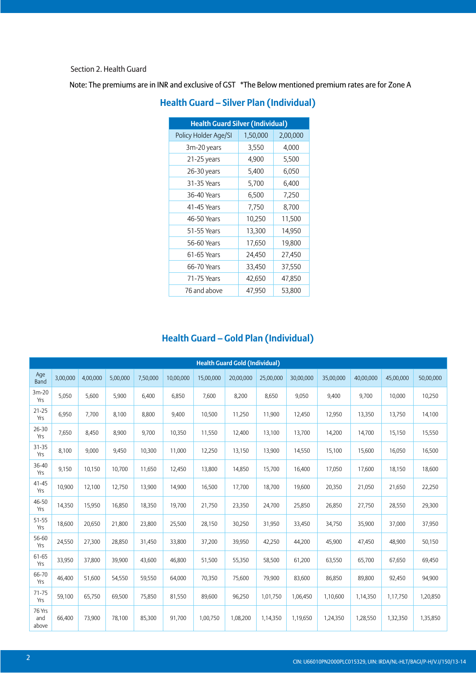Section 2. Health Guard

Note: The premiums are in INR and exclusive of GST \*The Below mentioned premium rates are for Zone A

| <b>Health Guard Silver (Individual)</b> |          |          |  |  |  |
|-----------------------------------------|----------|----------|--|--|--|
| Policy Holder Age/SI                    | 1,50,000 | 2,00,000 |  |  |  |
| 3m-20 years                             | 3,550    | 4,000    |  |  |  |
| 21-25 years                             | 4,900    | 5,500    |  |  |  |
| 26-30 years                             | 5,400    | 6,050    |  |  |  |
| 31-35 Years                             | 5,700    | 6,400    |  |  |  |
| 36-40 Years                             | 6,500    | 7,250    |  |  |  |
| 41-45 Years                             | 7,750    | 8,700    |  |  |  |
| 46-50 Years                             | 10,250   | 11,500   |  |  |  |
| 51-55 Years                             | 13,300   | 14,950   |  |  |  |
| 56-60 Years                             | 17,650   | 19,800   |  |  |  |
| 61-65 Years                             | 24,450   | 27,450   |  |  |  |
| 66-70 Years                             | 33,450   | 37,550   |  |  |  |
| 71-75 Years                             | 42,650   | 47,850   |  |  |  |
| 76 and above                            | 47,950   | 53,800   |  |  |  |

#### **Health Guard – Silver Plan (Individual)**

#### **Health Guard – Gold Plan (Individual)**

|                        | <b>Health Guard Gold (Individual)</b> |          |          |          |           |           |           |           |           |           |           |           |           |
|------------------------|---------------------------------------|----------|----------|----------|-----------|-----------|-----------|-----------|-----------|-----------|-----------|-----------|-----------|
| Age<br><b>Band</b>     | 3,00,000                              | 4,00,000 | 5,00,000 | 7,50,000 | 10,00,000 | 15,00,000 | 20,00,000 | 25,00,000 | 30,00,000 | 35,00,000 | 40,00,000 | 45,00,000 | 50,00,000 |
| $3m-20$<br>Yrs         | 5,050                                 | 5,600    | 5,900    | 6,400    | 6,850     | 7,600     | 8,200     | 8,650     | 9,050     | 9,400     | 9,700     | 10,000    | 10,250    |
| $21 - 25$<br>Yrs       | 6,950                                 | 7,700    | 8,100    | 8,800    | 9,400     | 10,500    | 11,250    | 11,900    | 12,450    | 12,950    | 13,350    | 13,750    | 14,100    |
| 26-30<br>Yrs           | 7,650                                 | 8,450    | 8,900    | 9,700    | 10,350    | 11,550    | 12,400    | 13,100    | 13,700    | 14,200    | 14,700    | 15,150    | 15,550    |
| $31 - 35$<br>Yrs       | 8,100                                 | 9,000    | 9,450    | 10,300   | 11,000    | 12,250    | 13,150    | 13,900    | 14,550    | 15,100    | 15,600    | 16,050    | 16,500    |
| 36-40<br>Yrs           | 9,150                                 | 10,150   | 10,700   | 11,650   | 12,450    | 13,800    | 14,850    | 15,700    | 16,400    | 17,050    | 17,600    | 18,150    | 18,600    |
| $41 - 45$<br>Yrs       | 10,900                                | 12,100   | 12,750   | 13,900   | 14,900    | 16,500    | 17,700    | 18,700    | 19,600    | 20,350    | 21,050    | 21,650    | 22,250    |
| 46-50<br>Yrs           | 14,350                                | 15,950   | 16,850   | 18,350   | 19,700    | 21,750    | 23,350    | 24,700    | 25,850    | 26,850    | 27,750    | 28,550    | 29,300    |
| 51-55<br>Yrs           | 18,600                                | 20,650   | 21,800   | 23,800   | 25,500    | 28,150    | 30,250    | 31,950    | 33,450    | 34,750    | 35,900    | 37,000    | 37,950    |
| 56-60<br>Yrs           | 24,550                                | 27,300   | 28,850   | 31,450   | 33,800    | 37,200    | 39,950    | 42,250    | 44,200    | 45,900    | 47,450    | 48,900    | 50,150    |
| 61-65<br>Yrs           | 33,950                                | 37,800   | 39,900   | 43,600   | 46,800    | 51,500    | 55,350    | 58,500    | 61,200    | 63,550    | 65,700    | 67,650    | 69,450    |
| 66-70<br>Yrs           | 46,400                                | 51,600   | 54,550   | 59,550   | 64,000    | 70,350    | 75,600    | 79,900    | 83,600    | 86,850    | 89,800    | 92,450    | 94,900    |
| $71 - 75$<br>Yrs       | 59,100                                | 65,750   | 69,500   | 75,850   | 81,550    | 89,600    | 96,250    | 1,01,750  | 1,06,450  | 1,10,600  | 1,14,350  | 1,17,750  | 1,20,850  |
| 76 Yrs<br>and<br>above | 66,400                                | 73,900   | 78,100   | 85,300   | 91,700    | 1,00,750  | 1,08,200  | 1,14,350  | 1,19,650  | 1,24,350  | 1,28,550  | 1,32,350  | 1,35,850  |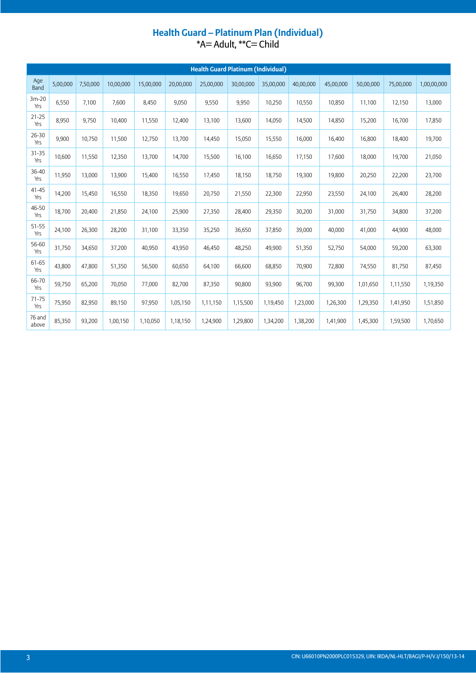#### **Health Guard – Platinum Plan (Individual)** \*A= Adult, \*\*C= Child

|                  |          |          |           |           |           | <b>Health Guard Platinum (Individual)</b> |           |           |           |           |           |           |             |
|------------------|----------|----------|-----------|-----------|-----------|-------------------------------------------|-----------|-----------|-----------|-----------|-----------|-----------|-------------|
| Age<br>Band      | 5,00,000 | 7,50,000 | 10,00,000 | 15,00,000 | 20,00,000 | 25,00,000                                 | 30,00,000 | 35,00,000 | 40,00,000 | 45,00,000 | 50,00,000 | 75,00,000 | 1,00,00,000 |
| $3m-20$<br>Yrs   | 6,550    | 7,100    | 7,600     | 8,450     | 9,050     | 9,550                                     | 9,950     | 10,250    | 10,550    | 10,850    | 11,100    | 12,150    | 13,000      |
| $21 - 25$<br>Yrs | 8,950    | 9,750    | 10,400    | 11,550    | 12,400    | 13,100                                    | 13,600    | 14,050    | 14,500    | 14,850    | 15,200    | 16,700    | 17,850      |
| 26-30<br>Yrs     | 9,900    | 10,750   | 11,500    | 12,750    | 13,700    | 14,450                                    | 15,050    | 15,550    | 16,000    | 16,400    | 16,800    | 18,400    | 19,700      |
| $31 - 35$<br>Yrs | 10,600   | 11,550   | 12,350    | 13,700    | 14,700    | 15,500                                    | 16,100    | 16,650    | 17,150    | 17,600    | 18,000    | 19,700    | 21,050      |
| 36-40<br>Yrs     | 11,950   | 13,000   | 13,900    | 15,400    | 16,550    | 17,450                                    | 18,150    | 18,750    | 19,300    | 19,800    | 20,250    | 22,200    | 23,700      |
| $41 - 45$<br>Yrs | 14,200   | 15,450   | 16,550    | 18,350    | 19,650    | 20,750                                    | 21,550    | 22,300    | 22,950    | 23,550    | 24,100    | 26,400    | 28,200      |
| 46-50<br>Yrs     | 18,700   | 20,400   | 21,850    | 24,100    | 25,900    | 27,350                                    | 28,400    | 29,350    | 30,200    | 31,000    | 31,750    | 34,800    | 37,200      |
| $51 - 55$<br>Yrs | 24,100   | 26,300   | 28,200    | 31,100    | 33,350    | 35,250                                    | 36,650    | 37,850    | 39,000    | 40,000    | 41,000    | 44,900    | 48,000      |
| 56-60<br>Yrs     | 31,750   | 34,650   | 37,200    | 40,950    | 43,950    | 46,450                                    | 48,250    | 49,900    | 51,350    | 52,750    | 54,000    | 59,200    | 63,300      |
| 61-65<br>Yrs     | 43,800   | 47,800   | 51,350    | 56,500    | 60,650    | 64,100                                    | 66,600    | 68,850    | 70,900    | 72,800    | 74,550    | 81,750    | 87,450      |
| 66-70<br>Yrs     | 59,750   | 65,200   | 70,050    | 77,000    | 82,700    | 87,350                                    | 90,800    | 93,900    | 96,700    | 99,300    | 1,01,650  | 1,11,550  | 1,19,350    |
| $71 - 75$<br>Yrs | 75,950   | 82,950   | 89,150    | 97,950    | 1,05,150  | 1,11,150                                  | 1,15,500  | 1,19,450  | 1,23,000  | 1,26,300  | 1,29,350  | 1,41,950  | 1,51,850    |
| 76 and<br>above  | 85,350   | 93,200   | 1,00,150  | 1,10,050  | 1,18,150  | 1,24,900                                  | 1,29,800  | 1,34,200  | 1,38,200  | 1,41,900  | 1,45,300  | 1,59,500  | 1,70,650    |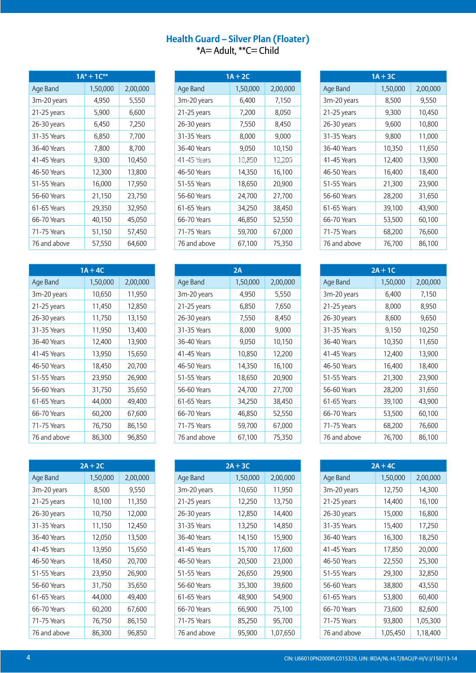#### **Health Guard – Silver Plan (Floater)** \*A= Adult, \*\*C= Child

| $1A^* + 1C^{**}$ |          |          |  |  |  |  |
|------------------|----------|----------|--|--|--|--|
| Age Band         | 1,50,000 | 2,00,000 |  |  |  |  |
| 3m-20 years      | 4,950    | 5,550    |  |  |  |  |
| 21-25 years      | 5,900    | 6,600    |  |  |  |  |
| 26-30 years      | 6,450    | 7,250    |  |  |  |  |
| 31-35 Years      | 6,850    | 7,700    |  |  |  |  |
| 36-40 Years      | 7,800    | 8,700    |  |  |  |  |
| 41-45 Years      | 9,300    | 10,450   |  |  |  |  |
| 46-50 Years      | 12,300   | 13,800   |  |  |  |  |
| 51-55 Years      | 16,000   | 17,950   |  |  |  |  |
| 56-60 Years      | 21,150   | 23,750   |  |  |  |  |
| 61-65 Years      | 29,350   | 32,950   |  |  |  |  |
| 66-70 Years      | 40,150   | 45,050   |  |  |  |  |
| 71-75 Years      | 51,150   | 57,450   |  |  |  |  |
| 76 and above     | 57,550   | 64,600   |  |  |  |  |

| $1A + 4C$    |          |          |  |  |  |  |
|--------------|----------|----------|--|--|--|--|
| Age Band     | 1,50,000 | 2,00,000 |  |  |  |  |
| 3m-20 years  | 10,650   | 11,950   |  |  |  |  |
| 21-25 years  | 11,450   | 12,850   |  |  |  |  |
| 26-30 years  | 11,750   | 13,150   |  |  |  |  |
| 31-35 Years  | 11,950   | 13,400   |  |  |  |  |
| 36-40 Years  | 12,400   | 13,900   |  |  |  |  |
| 41-45 Years  | 13,950   | 15,650   |  |  |  |  |
| 46-50 Years  | 18,450   | 20,700   |  |  |  |  |
| 51-55 Years  | 23,950   | 26,900   |  |  |  |  |
| 56-60 Years  | 31,750   | 35,650   |  |  |  |  |
| 61-65 Years  | 44,000   | 49,400   |  |  |  |  |
| 66-70 Years  | 60,200   | 67,600   |  |  |  |  |
| 71-75 Years  | 76,750   | 86,150   |  |  |  |  |
| 76 and above | 86,300   | 96,850   |  |  |  |  |

| $2A + 2C$    |          |          |  |  |  |  |
|--------------|----------|----------|--|--|--|--|
| Age Band     | 1,50,000 | 2,00,000 |  |  |  |  |
| 3m-20 years  | 8,500    | 9,550    |  |  |  |  |
| 21-25 years  | 10,100   | 11,350   |  |  |  |  |
| 26-30 years  | 10,750   | 12,000   |  |  |  |  |
| 31-35 Years  | 11,150   | 12,450   |  |  |  |  |
| 36-40 Years  | 12,050   | 13,500   |  |  |  |  |
| 41-45 Years  | 13,950   | 15,650   |  |  |  |  |
| 46-50 Years  | 18,450   | 20,700   |  |  |  |  |
| 51-55 Years  | 23,950   | 26,900   |  |  |  |  |
| 56-60 Years  | 31,750   | 35,650   |  |  |  |  |
| 61-65 Years  | 44,000   | 49,400   |  |  |  |  |
| 66-70 Years  | 60,200   | 67,600   |  |  |  |  |
| 71-75 Years  | 76,750   | 86,150   |  |  |  |  |
| 76 and above | 86,300   | 96,850   |  |  |  |  |

|              | $1A + 2C$ |          |  |  |  |  |
|--------------|-----------|----------|--|--|--|--|
| Age Band     | 1,50,000  | 2,00,000 |  |  |  |  |
| 3m-20 years  | 6,400     | 7,150    |  |  |  |  |
| 21-25 years  | 7,200     | 8,050    |  |  |  |  |
| 26-30 years  | 7,550     | 8,450    |  |  |  |  |
| 31-35 Years  | 8,000     | 9,000    |  |  |  |  |
| 36-40 Years  | 9,050     | 10,150   |  |  |  |  |
| 41-45 Years  | 10,850    | 12,200   |  |  |  |  |
| 46-50 Years  | 14,350    | 16,100   |  |  |  |  |
| 51-55 Years  | 18,650    | 20,900   |  |  |  |  |
| 56-60 Years  | 24,700    | 27,700   |  |  |  |  |
| 61-65 Years  | 34,250    | 38,450   |  |  |  |  |
| 66-70 Years  | 46,850    | 52,550   |  |  |  |  |
| 71-75 Years  | 59,700    | 67,000   |  |  |  |  |
| 76 and above | 67,100    | 75,350   |  |  |  |  |

| 2A           |          |          |  |  |  |  |
|--------------|----------|----------|--|--|--|--|
| Age Band     | 1,50,000 | 2,00,000 |  |  |  |  |
| 3m-20 years  | 4,950    | 5,550    |  |  |  |  |
| 21-25 years  | 6,850    | 7,650    |  |  |  |  |
| 26-30 years  | 7,550    | 8,450    |  |  |  |  |
| 31-35 Years  | 8,000    | 9,000    |  |  |  |  |
| 36-40 Years  | 9,050    | 10,150   |  |  |  |  |
| 41-45 Years  | 10,850   | 12,200   |  |  |  |  |
| 46-50 Years  | 14,350   | 16,100   |  |  |  |  |
| 51-55 Years  | 18,650   | 20,900   |  |  |  |  |
| 56-60 Years  | 24,700   | 27,700   |  |  |  |  |
| 61-65 Years  | 34,250   | 38,450   |  |  |  |  |
| 66-70 Years  | 46,850   | 52,550   |  |  |  |  |
| 71-75 Years  | 59,700   | 67,000   |  |  |  |  |
| 76 and above | 67,100   | 75,350   |  |  |  |  |

| $2A + 3C$    |          |          |  |  |  |  |
|--------------|----------|----------|--|--|--|--|
| Age Band     | 1,50,000 | 2,00,000 |  |  |  |  |
| 3m-20 years  | 10,650   | 11,950   |  |  |  |  |
| 21-25 years  | 12,250   | 13,750   |  |  |  |  |
| 26-30 years  | 12,850   | 14,400   |  |  |  |  |
| 31-35 Years  | 13,250   | 14,850   |  |  |  |  |
| 36-40 Years  | 14,150   | 15,900   |  |  |  |  |
| 41-45 Years  | 15,700   | 17,600   |  |  |  |  |
| 46-50 Years  | 20,500   | 23,000   |  |  |  |  |
| 51-55 Years  | 26,650   | 29,900   |  |  |  |  |
| 56-60 Years  | 35,300   | 39,600   |  |  |  |  |
| 61-65 Years  | 48,900   | 54,900   |  |  |  |  |
| 66-70 Years  | 66,900   | 75,100   |  |  |  |  |
| 71-75 Years  | 85,250   | 95,700   |  |  |  |  |
| 76 and above | 95,900   | 1,07,650 |  |  |  |  |

| $1A + 3C$    |          |          |  |  |  |  |
|--------------|----------|----------|--|--|--|--|
| Age Band     | 1,50,000 | 2,00,000 |  |  |  |  |
| 3m-20 years  | 8,500    | 9,550    |  |  |  |  |
| 21-25 years  | 9,300    | 10,450   |  |  |  |  |
| 26-30 years  | 9,600    | 10,800   |  |  |  |  |
| 31-35 Years  | 9,800    | 11,000   |  |  |  |  |
| 36-40 Years  | 10,350   | 11,650   |  |  |  |  |
| 41-45 Years  | 12,400   | 13,900   |  |  |  |  |
| 46-50 Years  | 16,400   | 18,400   |  |  |  |  |
| 51-55 Years  | 21,300   | 23,900   |  |  |  |  |
| 56-60 Years  | 28,200   | 31,650   |  |  |  |  |
| 61-65 Years  | 39,100   | 43,900   |  |  |  |  |
| 66-70 Years  | 53,500   | 60,100   |  |  |  |  |
| 71-75 Years  | 68,200   | 76,600   |  |  |  |  |
| 76 and above | 76,700   | 86,100   |  |  |  |  |

| $2A + 1C$     |          |          |  |  |  |
|---------------|----------|----------|--|--|--|
| Age Band      | 1,50,000 | 2,00,000 |  |  |  |
| 3m-20 years   | 6,400    | 7,150    |  |  |  |
| $21-25$ years | 8,000    | 8,950    |  |  |  |
| 26-30 years   | 8,600    | 9,650    |  |  |  |
| 31-35 Years   | 9,150    | 10,250   |  |  |  |
| 36-40 Years   | 10,350   | 11,650   |  |  |  |
| 41-45 Years   | 12,400   | 13,900   |  |  |  |
| 46-50 Years   | 16,400   | 18,400   |  |  |  |
| 51-55 Years   | 21,300   | 23,900   |  |  |  |
| 56-60 Years   | 28,200   | 31,650   |  |  |  |
| 61-65 Years   | 39,100   | 43,900   |  |  |  |
| 66-70 Years   | 53,500   | 60,100   |  |  |  |
| 71-75 Years   | 68,200   | 76,600   |  |  |  |
| 76 and above  | 76,700   | 86,100   |  |  |  |

|               | $2A + 4C$ |          |
|---------------|-----------|----------|
| Age Band      | 1,50,000  | 2,00,000 |
| 3m-20 years   | 12,750    | 14,300   |
| $21-25$ years | 14,400    | 16,100   |
| 26-30 years   | 15,000    | 16,800   |
| 31-35 Years   | 15,400    | 17,250   |
| 36-40 Years   | 16,300    | 18,250   |
| 41-45 Years   | 17,850    | 20,000   |
| 46-50 Years   | 22,550    | 25,300   |
| 51-55 Years   | 29,300    | 32,850   |
| 56-60 Years   | 38,800    | 43,550   |
| 61-65 Years   | 53,800    | 60,400   |
| 66-70 Years   | 73,600    | 82,600   |
| 71-75 Years   | 93,800    | 1,05,300 |
| 76 and above  | 1,05,450  | 1,18,400 |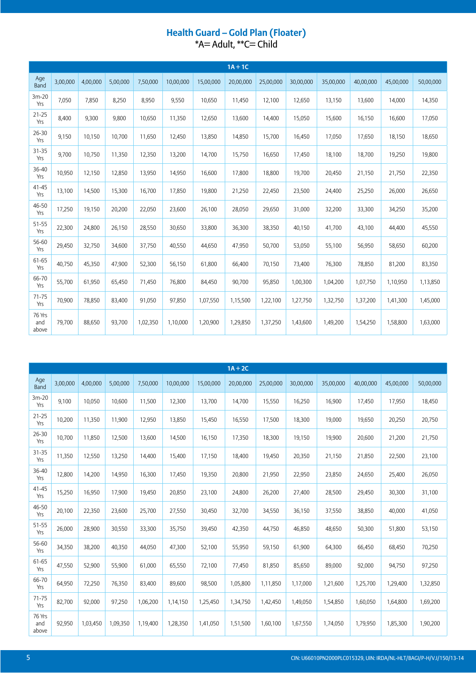# Health Guard – Gold Plan (Floater)<br>\*A= Adult, \*\*C= Child

|                        |          |          |          |          |           |           | $1A + 1C$ |           |           |           |           |           |           |
|------------------------|----------|----------|----------|----------|-----------|-----------|-----------|-----------|-----------|-----------|-----------|-----------|-----------|
| Age<br>Band            | 3,00,000 | 4,00,000 | 5,00,000 | 7,50,000 | 10,00,000 | 15,00,000 | 20,00,000 | 25,00,000 | 30,00,000 | 35,00,000 | 40,00,000 | 45,00,000 | 50,00,000 |
| $3m-20$<br>Yrs         | 7,050    | 7,850    | 8,250    | 8,950    | 9,550     | 10,650    | 11,450    | 12,100    | 12,650    | 13,150    | 13,600    | 14,000    | 14,350    |
| $21 - 25$<br>Yrs       | 8,400    | 9,300    | 9,800    | 10,650   | 11,350    | 12,650    | 13,600    | 14,400    | 15,050    | 15,600    | 16,150    | 16,600    | 17,050    |
| 26-30<br>Yrs           | 9,150    | 10,150   | 10,700   | 11,650   | 12,450    | 13,850    | 14,850    | 15,700    | 16,450    | 17,050    | 17,650    | 18,150    | 18,650    |
| 31-35<br>Yrs           | 9,700    | 10,750   | 11,350   | 12,350   | 13,200    | 14,700    | 15,750    | 16,650    | 17,450    | 18,100    | 18,700    | 19,250    | 19,800    |
| 36-40<br>Yrs           | 10,950   | 12,150   | 12,850   | 13,950   | 14,950    | 16,600    | 17,800    | 18,800    | 19,700    | 20,450    | 21,150    | 21,750    | 22,350    |
| $41 - 45$<br>Yrs       | 13,100   | 14,500   | 15,300   | 16,700   | 17,850    | 19,800    | 21,250    | 22,450    | 23,500    | 24,400    | 25,250    | 26,000    | 26,650    |
| 46-50<br>Yrs           | 17,250   | 19,150   | 20,200   | 22,050   | 23,600    | 26,100    | 28,050    | 29,650    | 31,000    | 32,200    | 33,300    | 34,250    | 35,200    |
| 51-55<br>Yrs           | 22,300   | 24,800   | 26,150   | 28,550   | 30,650    | 33,800    | 36,300    | 38,350    | 40,150    | 41,700    | 43,100    | 44,400    | 45,550    |
| 56-60<br>Yrs           | 29,450   | 32,750   | 34,600   | 37,750   | 40,550    | 44,650    | 47,950    | 50,700    | 53,050    | 55,100    | 56,950    | 58,650    | 60,200    |
| 61-65<br>Yrs           | 40,750   | 45,350   | 47,900   | 52,300   | 56,150    | 61,800    | 66,400    | 70,150    | 73,400    | 76,300    | 78,850    | 81,200    | 83,350    |
| 66-70<br>Yrs           | 55,700   | 61,950   | 65,450   | 71,450   | 76,800    | 84,450    | 90,700    | 95,850    | 1,00,300  | 1,04,200  | 1,07,750  | 1,10,950  | 1,13,850  |
| $71 - 75$<br>Yrs       | 70,900   | 78,850   | 83,400   | 91,050   | 97,850    | 1,07,550  | 1,15,500  | 1,22,100  | 1,27,750  | 1,32,750  | 1,37,200  | 1,41,300  | 1,45,000  |
| 76 Yrs<br>and<br>above | 79,700   | 88,650   | 93,700   | 1,02,350 | 1,10,000  | 1,20,900  | 1,29,850  | 1,37,250  | 1,43,600  | 1,49,200  | 1,54,250  | 1,58,800  | 1,63,000  |

|                        |          |          |          |          |           |           | $1A + 2C$ |           |           |           |           |           |           |
|------------------------|----------|----------|----------|----------|-----------|-----------|-----------|-----------|-----------|-----------|-----------|-----------|-----------|
| Age<br>Band            | 3,00,000 | 4,00,000 | 5,00,000 | 7,50,000 | 10,00,000 | 15,00,000 | 20,00,000 | 25,00,000 | 30,00,000 | 35,00,000 | 40,00,000 | 45,00,000 | 50,00,000 |
| $3m-20$<br>Yrs         | 9,100    | 10,050   | 10,600   | 11,500   | 12,300    | 13,700    | 14,700    | 15,550    | 16,250    | 16,900    | 17,450    | 17,950    | 18,450    |
| $21 - 25$<br>Yrs       | 10,200   | 11,350   | 11,900   | 12,950   | 13,850    | 15,450    | 16,550    | 17,500    | 18,300    | 19,000    | 19,650    | 20,250    | 20,750    |
| 26-30<br>Yrs           | 10,700   | 11,850   | 12,500   | 13,600   | 14,500    | 16,150    | 17,350    | 18,300    | 19,150    | 19,900    | 20,600    | 21,200    | 21,750    |
| $31 - 35$<br>Yrs       | 11,350   | 12,550   | 13,250   | 14,400   | 15,400    | 17,150    | 18,400    | 19,450    | 20,350    | 21,150    | 21,850    | 22,500    | 23,100    |
| 36-40<br>Yrs           | 12,800   | 14,200   | 14,950   | 16,300   | 17,450    | 19,350    | 20,800    | 21,950    | 22,950    | 23,850    | 24,650    | 25,400    | 26,050    |
| $41 - 45$<br>Yrs       | 15,250   | 16,950   | 17,900   | 19,450   | 20,850    | 23,100    | 24,800    | 26,200    | 27,400    | 28,500    | 29,450    | 30,300    | 31,100    |
| 46-50<br>Yrs           | 20,100   | 22,350   | 23,600   | 25,700   | 27,550    | 30,450    | 32,700    | 34,550    | 36,150    | 37,550    | 38,850    | 40,000    | 41,050    |
| 51-55<br>Yrs           | 26,000   | 28,900   | 30,550   | 33,300   | 35,750    | 39,450    | 42,350    | 44,750    | 46,850    | 48,650    | 50,300    | 51,800    | 53,150    |
| 56-60<br>Yrs           | 34,350   | 38,200   | 40,350   | 44,050   | 47,300    | 52,100    | 55,950    | 59,150    | 61,900    | 64,300    | 66,450    | 68,450    | 70,250    |
| 61-65<br>Yrs           | 47,550   | 52,900   | 55,900   | 61,000   | 65,550    | 72,100    | 77,450    | 81,850    | 85,650    | 89,000    | 92,000    | 94,750    | 97,250    |
| 66-70<br>Yrs           | 64,950   | 72,250   | 76,350   | 83,400   | 89,600    | 98,500    | 1,05,800  | 1,11,850  | 1,17,000  | 1,21,600  | 1,25,700  | 1,29,400  | 1,32,850  |
| $71 - 75$<br>Yrs       | 82,700   | 92,000   | 97,250   | 1,06,200 | 1,14,150  | 1,25,450  | 1,34,750  | 1,42,450  | 1,49,050  | 1,54,850  | 1,60,050  | 1,64,800  | 1,69,200  |
| 76 Yrs<br>and<br>above | 92,950   | 1,03,450 | 1,09,350 | 1,19,400 | 1,28,350  | 1,41,050  | 1,51,500  | 1,60,100  | 1,67,550  | 1,74,050  | 1,79,950  | 1,85,300  | 1,90,200  |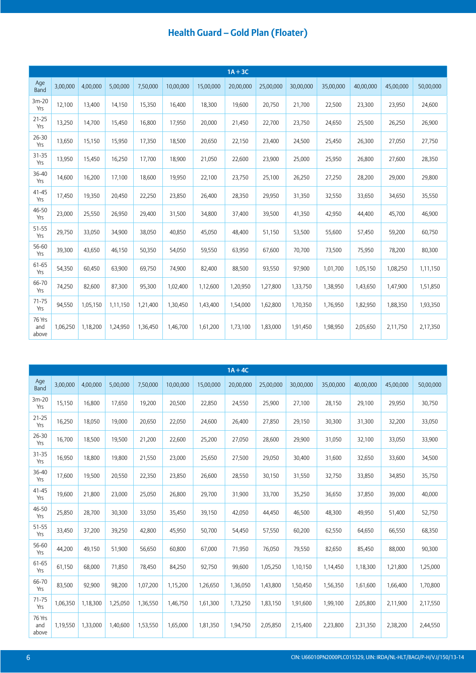|                        |          |          |          |          |           |           | $1A + 3C$ |           |           |           |           |           |           |
|------------------------|----------|----------|----------|----------|-----------|-----------|-----------|-----------|-----------|-----------|-----------|-----------|-----------|
| Age<br>Band            | 3,00,000 | 4,00,000 | 5,00,000 | 7,50,000 | 10,00,000 | 15,00,000 | 20,00,000 | 25,00,000 | 30,00,000 | 35,00,000 | 40,00,000 | 45,00,000 | 50,00,000 |
| $3m-20$<br>Yrs         | 12,100   | 13,400   | 14,150   | 15,350   | 16,400    | 18,300    | 19,600    | 20,750    | 21,700    | 22,500    | 23,300    | 23,950    | 24,600    |
| $21 - 25$<br>Yrs       | 13,250   | 14,700   | 15,450   | 16,800   | 17,950    | 20,000    | 21,450    | 22,700    | 23,750    | 24,650    | 25,500    | 26,250    | 26,900    |
| 26-30<br>Yrs           | 13,650   | 15,150   | 15,950   | 17,350   | 18,500    | 20,650    | 22,150    | 23,400    | 24,500    | 25,450    | 26,300    | 27,050    | 27,750    |
| $31 - 35$<br>Yrs       | 13,950   | 15,450   | 16,250   | 17,700   | 18,900    | 21,050    | 22,600    | 23,900    | 25,000    | 25,950    | 26,800    | 27,600    | 28,350    |
| 36-40<br>Yrs           | 14,600   | 16,200   | 17,100   | 18,600   | 19,950    | 22,100    | 23,750    | 25,100    | 26,250    | 27,250    | 28,200    | 29,000    | 29,800    |
| $41 - 45$<br>Yrs       | 17,450   | 19,350   | 20,450   | 22,250   | 23,850    | 26,400    | 28,350    | 29,950    | 31,350    | 32,550    | 33,650    | 34,650    | 35,550    |
| 46-50<br>Yrs           | 23,000   | 25,550   | 26,950   | 29,400   | 31,500    | 34,800    | 37,400    | 39,500    | 41,350    | 42,950    | 44,400    | 45,700    | 46,900    |
| 51-55<br>Yrs           | 29,750   | 33,050   | 34,900   | 38,050   | 40,850    | 45,050    | 48,400    | 51,150    | 53,500    | 55,600    | 57,450    | 59,200    | 60,750    |
| 56-60<br>Yrs           | 39,300   | 43,650   | 46,150   | 50,350   | 54,050    | 59,550    | 63,950    | 67,600    | 70,700    | 73,500    | 75,950    | 78,200    | 80,300    |
| 61-65<br>Yrs           | 54,350   | 60,450   | 63,900   | 69,750   | 74,900    | 82,400    | 88,500    | 93,550    | 97,900    | 1,01,700  | 1,05,150  | 1,08,250  | 1,11,150  |
| 66-70<br>Yrs           | 74,250   | 82,600   | 87,300   | 95,300   | 1,02,400  | 1,12,600  | 1,20,950  | 1,27,800  | 1,33,750  | 1,38,950  | 1,43,650  | 1,47,900  | 1,51,850  |
| $71 - 75$<br>Yrs       | 94,550   | 1,05,150 | 1,11,150 | 1,21,400 | 1,30,450  | 1,43,400  | 1,54,000  | 1,62,800  | 1,70,350  | 1,76,950  | 1,82,950  | 1,88,350  | 1,93,350  |
| 76 Yrs<br>and<br>above | 1,06,250 | 1,18,200 | 1,24,950 | 1,36,450 | 1,46,700  | 1,61,200  | 1,73,100  | 1,83,000  | 1,91,450  | 1,98,950  | 2,05,650  | 2,11,750  | 2,17,350  |

|                        |          |          |          |          |           |           | $1A + 4C$ |           |           |           |           |           |           |
|------------------------|----------|----------|----------|----------|-----------|-----------|-----------|-----------|-----------|-----------|-----------|-----------|-----------|
| Age<br><b>Band</b>     | 3,00,000 | 4,00,000 | 5,00,000 | 7,50,000 | 10,00,000 | 15,00,000 | 20,00,000 | 25,00,000 | 30,00,000 | 35,00,000 | 40,00,000 | 45,00,000 | 50,00,000 |
| $3m-20$<br>Yrs         | 15,150   | 16,800   | 17,650   | 19,200   | 20,500    | 22,850    | 24,550    | 25,900    | 27,100    | 28,150    | 29,100    | 29,950    | 30,750    |
| $21 - 25$<br>Yrs       | 16,250   | 18,050   | 19,000   | 20,650   | 22,050    | 24,600    | 26,400    | 27,850    | 29,150    | 30,300    | 31,300    | 32,200    | 33,050    |
| $26 - 30$<br>Yrs       | 16,700   | 18,500   | 19,500   | 21,200   | 22,600    | 25,200    | 27,050    | 28,600    | 29,900    | 31,050    | 32,100    | 33,050    | 33,900    |
| 31-35<br>Yrs           | 16,950   | 18,800   | 19,800   | 21,550   | 23,000    | 25,650    | 27,500    | 29,050    | 30,400    | 31,600    | 32,650    | 33,600    | 34,500    |
| 36-40<br>Yrs           | 17,600   | 19,500   | 20,550   | 22,350   | 23,850    | 26,600    | 28,550    | 30,150    | 31,550    | 32,750    | 33,850    | 34,850    | 35,750    |
| $41 - 45$<br>Yrs       | 19,600   | 21,800   | 23,000   | 25,050   | 26,800    | 29,700    | 31,900    | 33,700    | 35,250    | 36,650    | 37,850    | 39,000    | 40,000    |
| 46-50<br>Yrs           | 25,850   | 28,700   | 30,300   | 33,050   | 35,450    | 39,150    | 42,050    | 44,450    | 46,500    | 48,300    | 49,950    | 51,400    | 52,750    |
| 51-55<br>Yrs           | 33,450   | 37,200   | 39,250   | 42,800   | 45,950    | 50,700    | 54,450    | 57,550    | 60,200    | 62,550    | 64,650    | 66,550    | 68,350    |
| 56-60<br>Yrs           | 44,200   | 49,150   | 51,900   | 56,650   | 60,800    | 67,000    | 71,950    | 76,050    | 79,550    | 82,650    | 85,450    | 88,000    | 90,300    |
| 61-65<br>Yrs           | 61,150   | 68,000   | 71,850   | 78,450   | 84,250    | 92,750    | 99,600    | 1,05,250  | 1,10,150  | 1,14,450  | 1,18,300  | 1,21,800  | 1,25,000  |
| 66-70<br>Yrs           | 83,500   | 92,900   | 98,200   | 1,07,200 | 1,15,200  | 1,26,650  | 1,36,050  | 1,43,800  | 1,50,450  | 1,56,350  | 1,61,600  | 1,66,400  | 1,70,800  |
| $71 - 75$<br>Yrs       | 1,06,350 | 1,18,300 | 1,25,050 | 1,36,550 | 1,46,750  | 1,61,300  | 1,73,250  | 1,83,150  | 1,91,600  | 1,99,100  | 2,05,800  | 2,11,900  | 2,17,550  |
| 76 Yrs<br>and<br>above | 1,19,550 | 1,33,000 | 1,40,600 | 1,53,550 | 1,65,000  | 1,81,350  | 1,94,750  | 2,05,850  | 2,15,400  | 2,23,800  | 2,31,350  | 2,38,200  | 2,44,550  |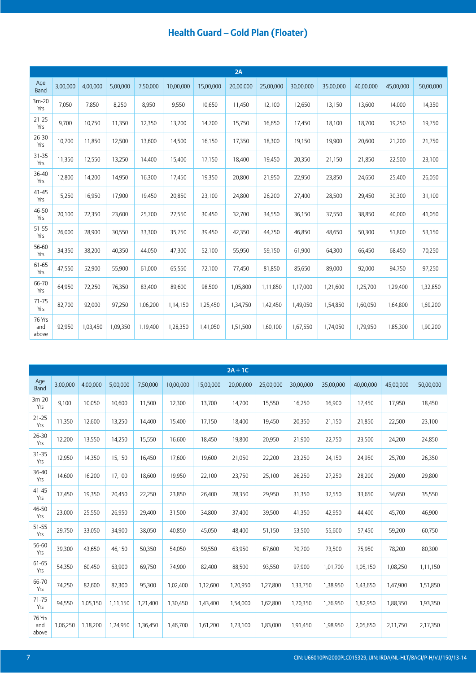|                        |          |          |          |          |           |           | 2A        |           |           |           |           |           |           |
|------------------------|----------|----------|----------|----------|-----------|-----------|-----------|-----------|-----------|-----------|-----------|-----------|-----------|
| Age<br>Band            | 3,00,000 | 4,00,000 | 5,00,000 | 7,50,000 | 10,00,000 | 15,00,000 | 20,00,000 | 25,00,000 | 30,00,000 | 35,00,000 | 40,00,000 | 45,00,000 | 50,00,000 |
| $3m-20$<br>Yrs         | 7,050    | 7,850    | 8,250    | 8,950    | 9,550     | 10,650    | 11,450    | 12,100    | 12,650    | 13,150    | 13,600    | 14,000    | 14,350    |
| $21 - 25$<br>Yrs       | 9,700    | 10,750   | 11,350   | 12,350   | 13,200    | 14,700    | 15,750    | 16,650    | 17,450    | 18,100    | 18,700    | 19,250    | 19,750    |
| $26 - 30$<br>Yrs       | 10,700   | 11,850   | 12,500   | 13,600   | 14,500    | 16,150    | 17,350    | 18,300    | 19,150    | 19,900    | 20,600    | 21,200    | 21,750    |
| $31 - 35$<br>Yrs       | 11,350   | 12,550   | 13,250   | 14,400   | 15,400    | 17,150    | 18,400    | 19,450    | 20,350    | 21,150    | 21,850    | 22,500    | 23,100    |
| 36-40<br>Yrs           | 12,800   | 14,200   | 14,950   | 16,300   | 17,450    | 19,350    | 20,800    | 21,950    | 22,950    | 23,850    | 24,650    | 25,400    | 26,050    |
| $41 - 45$<br>Yrs       | 15,250   | 16,950   | 17,900   | 19,450   | 20,850    | 23,100    | 24,800    | 26,200    | 27,400    | 28,500    | 29,450    | 30,300    | 31,100    |
| 46-50<br>Yrs           | 20,100   | 22,350   | 23,600   | 25,700   | 27,550    | 30,450    | 32,700    | 34,550    | 36,150    | 37,550    | 38,850    | 40,000    | 41,050    |
| 51-55<br>Yrs           | 26,000   | 28,900   | 30,550   | 33,300   | 35,750    | 39,450    | 42,350    | 44,750    | 46,850    | 48,650    | 50,300    | 51,800    | 53,150    |
| 56-60<br>Yrs           | 34,350   | 38,200   | 40,350   | 44,050   | 47,300    | 52,100    | 55,950    | 59,150    | 61,900    | 64,300    | 66,450    | 68,450    | 70,250    |
| 61-65<br>Yrs           | 47,550   | 52,900   | 55,900   | 61,000   | 65,550    | 72,100    | 77,450    | 81,850    | 85,650    | 89,000    | 92,000    | 94,750    | 97,250    |
| 66-70<br>Yrs           | 64,950   | 72,250   | 76,350   | 83,400   | 89,600    | 98,500    | 1,05,800  | 1,11,850  | 1,17,000  | 1,21,600  | 1,25,700  | 1,29,400  | 1,32,850  |
| 71-75<br>Yrs           | 82,700   | 92,000   | 97,250   | 1,06,200 | 1,14,150  | 1,25,450  | 1,34,750  | 1,42,450  | 1,49,050  | 1,54,850  | 1,60,050  | 1,64,800  | 1,69,200  |
| 76 Yrs<br>and<br>above | 92,950   | 1,03,450 | 1,09,350 | 1,19,400 | 1,28,350  | 1,41,050  | 1,51,500  | 1,60,100  | 1,67,550  | 1,74,050  | 1,79,950  | 1,85,300  | 1,90,200  |

|                        |          |          |          |          |           |           | $2A+1C$   |           |           |           |           |           |           |
|------------------------|----------|----------|----------|----------|-----------|-----------|-----------|-----------|-----------|-----------|-----------|-----------|-----------|
| Age<br>Band            | 3,00,000 | 4,00,000 | 5,00,000 | 7,50,000 | 10,00,000 | 15,00,000 | 20,00,000 | 25,00,000 | 30,00,000 | 35,00,000 | 40,00,000 | 45,00,000 | 50,00,000 |
| $3m-20$<br>Yrs         | 9,100    | 10,050   | 10,600   | 11,500   | 12,300    | 13,700    | 14,700    | 15,550    | 16,250    | 16,900    | 17,450    | 17,950    | 18,450    |
| $21 - 25$<br>Yrs       | 11,350   | 12,600   | 13,250   | 14,400   | 15,400    | 17,150    | 18,400    | 19,450    | 20,350    | 21,150    | 21,850    | 22,500    | 23,100    |
| 26-30<br>Yrs           | 12,200   | 13,550   | 14,250   | 15,550   | 16,600    | 18,450    | 19,800    | 20,950    | 21,900    | 22,750    | 23,500    | 24,200    | 24,850    |
| $31 - 35$<br>Yrs       | 12,950   | 14,350   | 15,150   | 16,450   | 17,600    | 19,600    | 21,050    | 22,200    | 23,250    | 24,150    | 24,950    | 25,700    | 26,350    |
| 36-40<br>Yrs           | 14,600   | 16,200   | 17,100   | 18,600   | 19,950    | 22,100    | 23,750    | 25,100    | 26,250    | 27,250    | 28,200    | 29,000    | 29,800    |
| $41 - 45$<br>Yrs       | 17,450   | 19,350   | 20,450   | 22,250   | 23,850    | 26,400    | 28,350    | 29,950    | 31,350    | 32,550    | 33,650    | 34,650    | 35,550    |
| 46-50<br>Yrs           | 23,000   | 25,550   | 26,950   | 29,400   | 31,500    | 34,800    | 37,400    | 39,500    | 41,350    | 42,950    | 44,400    | 45,700    | 46,900    |
| 51-55<br>Yrs           | 29,750   | 33,050   | 34,900   | 38,050   | 40,850    | 45,050    | 48,400    | 51,150    | 53,500    | 55,600    | 57,450    | 59,200    | 60,750    |
| 56-60<br>Yrs           | 39,300   | 43,650   | 46,150   | 50,350   | 54,050    | 59,550    | 63,950    | 67,600    | 70,700    | 73,500    | 75,950    | 78,200    | 80,300    |
| 61-65<br>Yrs           | 54,350   | 60,450   | 63,900   | 69,750   | 74,900    | 82,400    | 88,500    | 93,550    | 97,900    | 1,01,700  | 1,05,150  | 1,08,250  | 1,11,150  |
| 66-70<br>Yrs           | 74,250   | 82,600   | 87,300   | 95,300   | 1,02,400  | 1,12,600  | 1,20,950  | 1,27,800  | 1,33,750  | 1,38,950  | 1,43,650  | 1,47,900  | 1,51,850  |
| $71 - 75$<br>Yrs       | 94,550   | 1,05,150 | 1,11,150 | 1,21,400 | 1,30,450  | 1,43,400  | 1,54,000  | 1,62,800  | 1,70,350  | 1,76,950  | 1,82,950  | 1,88,350  | 1,93,350  |
| 76 Yrs<br>and<br>above | 1,06,250 | 1,18,200 | 1,24,950 | 1,36,450 | 1,46,700  | 1,61,200  | 1,73,100  | 1,83,000  | 1,91,450  | 1,98,950  | 2,05,650  | 2,11,750  | 2,17,350  |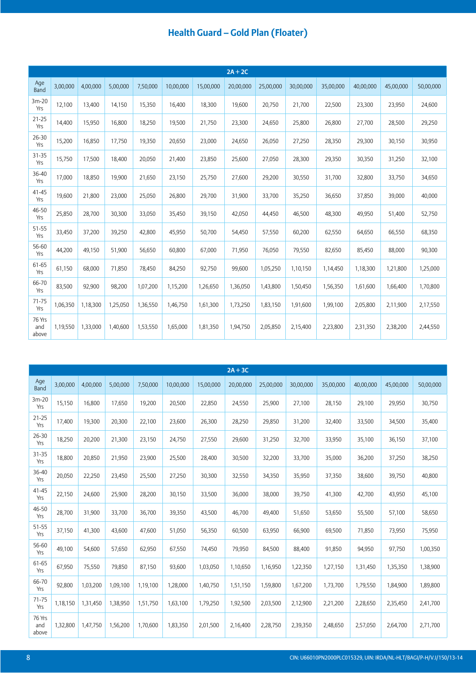|                        |          |          |          |          |           |           | $2A + 2C$ |           |           |           |           |           |           |
|------------------------|----------|----------|----------|----------|-----------|-----------|-----------|-----------|-----------|-----------|-----------|-----------|-----------|
| Age<br>Band            | 3,00,000 | 4,00,000 | 5,00,000 | 7,50,000 | 10,00,000 | 15,00,000 | 20,00,000 | 25,00,000 | 30,00,000 | 35,00,000 | 40,00,000 | 45,00,000 | 50,00,000 |
| $3m-20$<br>Yrs         | 12,100   | 13,400   | 14,150   | 15,350   | 16,400    | 18,300    | 19,600    | 20,750    | 21,700    | 22,500    | 23,300    | 23,950    | 24,600    |
| $21 - 25$<br>Yrs       | 14,400   | 15,950   | 16,800   | 18,250   | 19,500    | 21,750    | 23,300    | 24,650    | 25,800    | 26,800    | 27,700    | 28,500    | 29,250    |
| $26 - 30$<br>Yrs       | 15,200   | 16,850   | 17,750   | 19,350   | 20,650    | 23,000    | 24,650    | 26,050    | 27,250    | 28,350    | 29,300    | 30,150    | 30,950    |
| $31 - 35$<br>Yrs       | 15,750   | 17,500   | 18,400   | 20,050   | 21,400    | 23,850    | 25,600    | 27,050    | 28,300    | 29,350    | 30,350    | 31,250    | 32,100    |
| 36-40<br>Yrs           | 17,000   | 18,850   | 19,900   | 21,650   | 23,150    | 25,750    | 27,600    | 29,200    | 30,550    | 31,700    | 32,800    | 33,750    | 34,650    |
| $41 - 45$<br>Yrs       | 19,600   | 21,800   | 23,000   | 25,050   | 26,800    | 29,700    | 31,900    | 33,700    | 35,250    | 36,650    | 37,850    | 39,000    | 40,000    |
| 46-50<br>Yrs           | 25,850   | 28,700   | 30,300   | 33,050   | 35,450    | 39,150    | 42,050    | 44,450    | 46,500    | 48,300    | 49,950    | 51,400    | 52,750    |
| 51-55<br>Yrs           | 33,450   | 37,200   | 39,250   | 42,800   | 45,950    | 50,700    | 54,450    | 57,550    | 60,200    | 62,550    | 64,650    | 66,550    | 68,350    |
| 56-60<br>Yrs           | 44,200   | 49,150   | 51,900   | 56,650   | 60,800    | 67,000    | 71,950    | 76,050    | 79,550    | 82,650    | 85,450    | 88,000    | 90,300    |
| 61-65<br>Yrs           | 61,150   | 68,000   | 71,850   | 78,450   | 84,250    | 92,750    | 99,600    | 1,05,250  | 1,10,150  | 1,14,450  | 1,18,300  | 1,21,800  | 1,25,000  |
| 66-70<br>Yrs           | 83,500   | 92,900   | 98,200   | 1,07,200 | 1,15,200  | 1,26,650  | 1,36,050  | 1,43,800  | 1,50,450  | 1,56,350  | 1,61,600  | 1,66,400  | 1,70,800  |
| $71 - 75$<br>Yrs       | 1,06,350 | 1,18,300 | 1,25,050 | 1,36,550 | 1,46,750  | 1,61,300  | 1,73,250  | 1,83,150  | 1,91,600  | 1,99,100  | 2,05,800  | 2,11,900  | 2,17,550  |
| 76 Yrs<br>and<br>above | 1,19,550 | 1,33,000 | 1,40,600 | 1,53,550 | 1,65,000  | 1,81,350  | 1,94,750  | 2,05,850  | 2,15,400  | 2,23,800  | 2,31,350  | 2,38,200  | 2,44,550  |

|                        |          |          |          |          |           |           | $2A + 3C$ |           |           |           |           |           |           |
|------------------------|----------|----------|----------|----------|-----------|-----------|-----------|-----------|-----------|-----------|-----------|-----------|-----------|
| Age<br>Band            | 3,00,000 | 4,00,000 | 5,00,000 | 7,50,000 | 10,00,000 | 15,00,000 | 20,00,000 | 25,00,000 | 30,00,000 | 35,00,000 | 40,00,000 | 45,00,000 | 50,00,000 |
| $3m-20$<br>Yrs         | 15,150   | 16,800   | 17,650   | 19,200   | 20,500    | 22,850    | 24,550    | 25,900    | 27,100    | 28,150    | 29,100    | 29,950    | 30,750    |
| $21 - 25$<br>Yrs       | 17,400   | 19,300   | 20,300   | 22,100   | 23,600    | 26,300    | 28,250    | 29,850    | 31,200    | 32,400    | 33,500    | 34,500    | 35,400    |
| 26-30<br>Yrs           | 18,250   | 20,200   | 21,300   | 23,150   | 24,750    | 27,550    | 29,600    | 31,250    | 32,700    | 33,950    | 35,100    | 36,150    | 37,100    |
| $31 - 35$<br>Yrs       | 18,800   | 20,850   | 21,950   | 23,900   | 25,500    | 28,400    | 30,500    | 32,200    | 33,700    | 35,000    | 36,200    | 37,250    | 38,250    |
| 36-40<br>Yrs           | 20,050   | 22,250   | 23,450   | 25,500   | 27,250    | 30,300    | 32,550    | 34,350    | 35,950    | 37,350    | 38,600    | 39,750    | 40,800    |
| $41 - 45$<br>Yrs       | 22,150   | 24,600   | 25,900   | 28,200   | 30,150    | 33,500    | 36,000    | 38,000    | 39,750    | 41,300    | 42,700    | 43,950    | 45,100    |
| 46-50<br>Yrs           | 28,700   | 31,900   | 33,700   | 36,700   | 39,350    | 43,500    | 46,700    | 49,400    | 51,650    | 53,650    | 55,500    | 57,100    | 58,650    |
| 51-55<br>Yrs           | 37,150   | 41,300   | 43,600   | 47,600   | 51,050    | 56,350    | 60,500    | 63,950    | 66,900    | 69,500    | 71,850    | 73,950    | 75,950    |
| 56-60<br>Yrs           | 49,100   | 54,600   | 57,650   | 62,950   | 67,550    | 74,450    | 79,950    | 84,500    | 88,400    | 91,850    | 94,950    | 97,750    | 1,00,350  |
| 61-65<br>Yrs           | 67,950   | 75,550   | 79,850   | 87,150   | 93,600    | 1,03,050  | 1,10,650  | 1,16,950  | 1,22,350  | 1,27,150  | 1,31,450  | 1,35,350  | 1,38,900  |
| 66-70<br>Yrs           | 92,800   | 1,03,200 | 1,09,100 | 1,19,100 | 1,28,000  | 1,40,750  | 1,51,150  | 1,59,800  | 1,67,200  | 1,73,700  | 1,79,550  | 1,84,900  | 1,89,800  |
| $71 - 75$<br>Yrs       | 1,18,150 | 1,31,450 | 1,38,950 | 1,51,750 | 1,63,100  | 1,79,250  | 1,92,500  | 2,03,500  | 2,12,900  | 2,21,200  | 2,28,650  | 2,35,450  | 2,41,700  |
| 76 Yrs<br>and<br>above | 1,32,800 | 1,47,750 | 1,56,200 | 1,70,600 | 1,83,350  | 2,01,500  | 2,16,400  | 2,28,750  | 2,39,350  | 2,48,650  | 2,57,050  | 2,64,700  | 2,71,700  |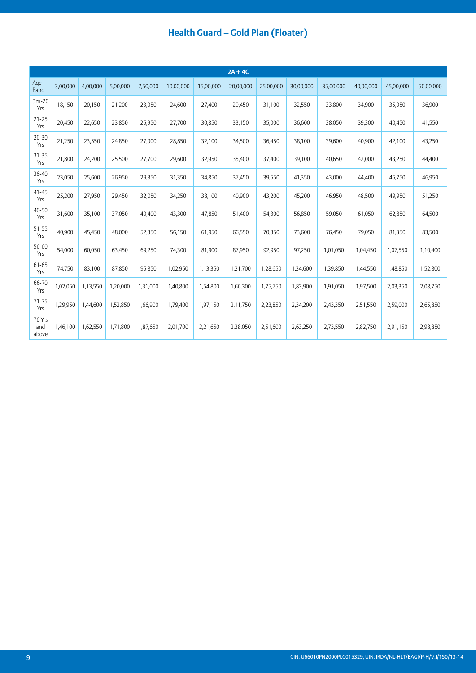|                        |          |          |          |          |           |           | $2A + 4C$ |           |           |           |           |           |           |
|------------------------|----------|----------|----------|----------|-----------|-----------|-----------|-----------|-----------|-----------|-----------|-----------|-----------|
| Age<br><b>Band</b>     | 3,00,000 | 4,00,000 | 5,00,000 | 7,50,000 | 10,00,000 | 15,00,000 | 20,00,000 | 25,00,000 | 30,00,000 | 35,00,000 | 40,00,000 | 45,00,000 | 50,00,000 |
| $3m-20$<br>Yrs         | 18,150   | 20,150   | 21,200   | 23,050   | 24,600    | 27,400    | 29,450    | 31,100    | 32,550    | 33,800    | 34,900    | 35,950    | 36,900    |
| $21 - 25$<br>Yrs       | 20,450   | 22,650   | 23,850   | 25,950   | 27,700    | 30,850    | 33,150    | 35,000    | 36,600    | 38,050    | 39,300    | 40,450    | 41,550    |
| $26 - 30$<br>Yrs       | 21,250   | 23,550   | 24,850   | 27,000   | 28,850    | 32,100    | 34,500    | 36,450    | 38,100    | 39,600    | 40,900    | 42,100    | 43,250    |
| $31 - 35$<br>Yrs       | 21,800   | 24,200   | 25,500   | 27,700   | 29,600    | 32,950    | 35,400    | 37,400    | 39,100    | 40,650    | 42,000    | 43,250    | 44,400    |
| 36-40<br>Yrs           | 23,050   | 25,600   | 26,950   | 29,350   | 31,350    | 34,850    | 37,450    | 39,550    | 41,350    | 43,000    | 44,400    | 45,750    | 46,950    |
| $41 - 45$<br>Yrs       | 25,200   | 27,950   | 29,450   | 32,050   | 34,250    | 38,100    | 40,900    | 43,200    | 45,200    | 46,950    | 48,500    | 49,950    | 51,250    |
| 46-50<br>Yrs           | 31,600   | 35,100   | 37,050   | 40,400   | 43,300    | 47,850    | 51,400    | 54,300    | 56,850    | 59,050    | 61,050    | 62,850    | 64,500    |
| 51-55<br>Yrs           | 40,900   | 45,450   | 48,000   | 52,350   | 56,150    | 61,950    | 66,550    | 70,350    | 73,600    | 76,450    | 79,050    | 81,350    | 83,500    |
| 56-60<br>Yrs           | 54,000   | 60,050   | 63,450   | 69,250   | 74,300    | 81,900    | 87,950    | 92,950    | 97,250    | 1,01,050  | 1,04,450  | 1,07,550  | 1,10,400  |
| 61-65<br>Yrs           | 74,750   | 83,100   | 87,850   | 95,850   | 1,02,950  | 1,13,350  | 1,21,700  | 1,28,650  | 1,34,600  | 1,39,850  | 1,44,550  | 1,48,850  | 1,52,800  |
| 66-70<br>Yrs           | 1,02,050 | 1,13,550 | 1,20,000 | 1,31,000 | 1,40,800  | 1,54,800  | 1,66,300  | 1,75,750  | 1,83,900  | 1,91,050  | 1,97,500  | 2,03,350  | 2,08,750  |
| $71 - 75$<br>Yrs       | 1,29,950 | 1,44,600 | 1,52,850 | 1,66,900 | 1,79,400  | 1,97,150  | 2,11,750  | 2,23,850  | 2,34,200  | 2,43,350  | 2,51,550  | 2,59,000  | 2,65,850  |
| 76 Yrs<br>and<br>above | 1,46,100 | 1,62,550 | 1,71,800 | 1,87,650 | 2,01,700  | 2,21,650  | 2,38,050  | 2,51,600  | 2,63,250  | 2,73,550  | 2,82,750  | 2,91,150  | 2,98,850  |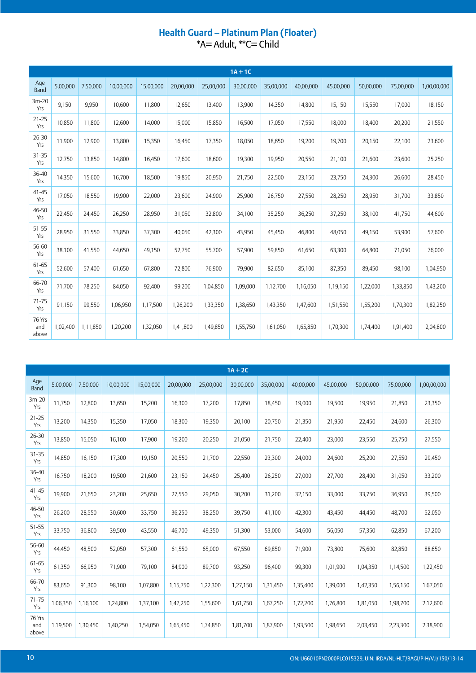# Health Guard - Platinum Plan (Floater)<br>\*A= Adult, \*\*C= Child

|                        |          |          |           |           |           |           | $1A + 1C$ |           |           |           |           |           |             |
|------------------------|----------|----------|-----------|-----------|-----------|-----------|-----------|-----------|-----------|-----------|-----------|-----------|-------------|
| Age<br>Band            | 5,00,000 | 7,50,000 | 10,00,000 | 15,00,000 | 20,00,000 | 25,00,000 | 30,00,000 | 35,00,000 | 40,00,000 | 45,00,000 | 50,00,000 | 75,00,000 | 1,00,00,000 |
| $3m-20$<br>Yrs         | 9,150    | 9,950    | 10,600    | 11,800    | 12,650    | 13,400    | 13,900    | 14,350    | 14,800    | 15,150    | 15,550    | 17,000    | 18,150      |
| $21 - 25$<br>Yrs       | 10,850   | 11,800   | 12,600    | 14,000    | 15,000    | 15,850    | 16,500    | 17,050    | 17,550    | 18,000    | 18,400    | 20,200    | 21,550      |
| 26-30<br>Yrs           | 11,900   | 12,900   | 13,800    | 15,350    | 16,450    | 17,350    | 18,050    | 18,650    | 19,200    | 19,700    | 20,150    | 22,100    | 23,600      |
| $31 - 35$<br>Yrs       | 12,750   | 13,850   | 14,800    | 16,450    | 17,600    | 18,600    | 19,300    | 19,950    | 20,550    | 21,100    | 21,600    | 23,600    | 25,250      |
| 36-40<br>Yrs           | 14,350   | 15,600   | 16,700    | 18,500    | 19,850    | 20,950    | 21,750    | 22,500    | 23,150    | 23,750    | 24,300    | 26,600    | 28,450      |
| $41 - 45$<br>Yrs       | 17,050   | 18,550   | 19,900    | 22,000    | 23,600    | 24,900    | 25,900    | 26,750    | 27,550    | 28,250    | 28,950    | 31,700    | 33,850      |
| 46-50<br>Yrs           | 22,450   | 24,450   | 26,250    | 28,950    | 31,050    | 32,800    | 34,100    | 35,250    | 36,250    | 37,250    | 38,100    | 41,750    | 44,600      |
| $51 - 55$<br>Yrs       | 28,950   | 31,550   | 33,850    | 37,300    | 40,050    | 42,300    | 43,950    | 45,450    | 46,800    | 48,050    | 49,150    | 53,900    | 57,600      |
| 56-60<br>Yrs           | 38,100   | 41,550   | 44,650    | 49,150    | 52,750    | 55,700    | 57,900    | 59,850    | 61,650    | 63,300    | 64,800    | 71,050    | 76,000      |
| 61-65<br>Yrs           | 52,600   | 57,400   | 61,650    | 67,800    | 72,800    | 76,900    | 79,900    | 82,650    | 85,100    | 87,350    | 89,450    | 98,100    | 1,04,950    |
| 66-70<br>Yrs           | 71,700   | 78,250   | 84,050    | 92,400    | 99,200    | 1,04,850  | 1,09,000  | 1,12,700  | 1,16,050  | 1,19,150  | 1,22,000  | 1,33,850  | 1,43,200    |
| $71 - 75$<br>Yrs       | 91,150   | 99,550   | 1,06,950  | 1,17,500  | 1,26,200  | 1,33,350  | 1,38,650  | 1,43,350  | 1,47,600  | 1,51,550  | 1,55,200  | 1,70,300  | 1,82,250    |
| 76 Yrs<br>and<br>above | 1,02,400 | 1,11,850 | 1,20,200  | 1,32,050  | 1,41,800  | 1,49,850  | 1,55,750  | 1,61,050  | 1,65,850  | 1,70,300  | 1,74,400  | 1,91,400  | 2,04,800    |

|                        |          |          |           |           |           |           | $1A + 2C$ |           |           |           |           |           |             |
|------------------------|----------|----------|-----------|-----------|-----------|-----------|-----------|-----------|-----------|-----------|-----------|-----------|-------------|
| Age<br>Band            | 5,00,000 | 7,50,000 | 10,00,000 | 15,00,000 | 20,00,000 | 25,00,000 | 30,00,000 | 35,00,000 | 40,00,000 | 45,00,000 | 50,00,000 | 75,00,000 | 1,00,00,000 |
| $3m-20$<br>Yrs         | 11,750   | 12,800   | 13,650    | 15,200    | 16,300    | 17,200    | 17,850    | 18,450    | 19,000    | 19,500    | 19,950    | 21,850    | 23,350      |
| $21 - 25$<br>Yrs       | 13,200   | 14,350   | 15,350    | 17,050    | 18,300    | 19,350    | 20,100    | 20,750    | 21,350    | 21,950    | 22,450    | 24,600    | 26,300      |
| 26-30<br>Yrs           | 13,850   | 15,050   | 16,100    | 17,900    | 19,200    | 20,250    | 21,050    | 21,750    | 22,400    | 23,000    | 23,550    | 25,750    | 27,550      |
| $31 - 35$<br>Yrs       | 14,850   | 16,150   | 17,300    | 19,150    | 20,550    | 21,700    | 22,550    | 23,300    | 24,000    | 24,600    | 25,200    | 27,550    | 29,450      |
| 36-40<br>Yrs           | 16,750   | 18,200   | 19,500    | 21,600    | 23,150    | 24,450    | 25,400    | 26,250    | 27,000    | 27,700    | 28,400    | 31,050    | 33,200      |
| $41 - 45$<br>Yrs       | 19,900   | 21,650   | 23,200    | 25,650    | 27,550    | 29,050    | 30,200    | 31,200    | 32,150    | 33,000    | 33,750    | 36,950    | 39,500      |
| 46-50<br>Yrs           | 26,200   | 28,550   | 30,600    | 33,750    | 36,250    | 38,250    | 39,750    | 41,100    | 42,300    | 43,450    | 44,450    | 48,700    | 52,050      |
| 51-55<br>Yrs           | 33,750   | 36,800   | 39,500    | 43,550    | 46,700    | 49,350    | 51,300    | 53,000    | 54,600    | 56,050    | 57,350    | 62,850    | 67,200      |
| 56-60<br>Yrs           | 44,450   | 48,500   | 52,050    | 57,300    | 61,550    | 65,000    | 67,550    | 69,850    | 71,900    | 73,800    | 75,600    | 82,850    | 88,650      |
| 61-65<br>Yrs           | 61,350   | 66,950   | 71,900    | 79,100    | 84,900    | 89,700    | 93,250    | 96,400    | 99,300    | 1,01,900  | 1,04,350  | 1,14,500  | 1,22,450    |
| 66-70<br>Yrs           | 83,650   | 91,300   | 98,100    | 1,07,800  | 1,15,750  | 1,22,300  | 1,27,150  | 1,31,450  | 1,35,400  | 1,39,000  | 1,42,350  | 1,56,150  | 1,67,050    |
| $71 - 75$<br>Yrs       | 1,06,350 | 1,16,100 | 1,24,800  | 1,37,100  | 1,47,250  | 1,55,600  | 1,61,750  | 1,67,250  | 1,72,200  | 1,76,800  | 1,81,050  | 1,98,700  | 2,12,600    |
| 76 Yrs<br>and<br>above | 1,19,500 | 1,30,450 | 1,40,250  | 1,54,050  | 1,65,450  | 1,74,850  | 1,81,700  | 1,87,900  | 1,93,500  | 1,98,650  | 2,03,450  | 2,23,300  | 2,38,900    |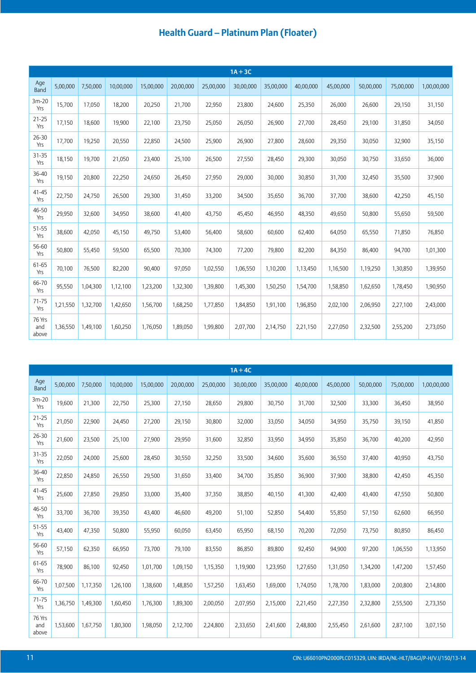|                        |          |          |           |           |           |           | $1A + 3C$ |           |           |           |           |           |             |
|------------------------|----------|----------|-----------|-----------|-----------|-----------|-----------|-----------|-----------|-----------|-----------|-----------|-------------|
| Age<br>Band            | 5,00,000 | 7,50,000 | 10,00,000 | 15,00,000 | 20,00,000 | 25,00,000 | 30,00,000 | 35,00,000 | 40,00,000 | 45,00,000 | 50,00,000 | 75,00,000 | 1,00,00,000 |
| $3m-20$<br>Yrs         | 15,700   | 17,050   | 18,200    | 20,250    | 21,700    | 22,950    | 23,800    | 24,600    | 25,350    | 26,000    | 26,600    | 29,150    | 31,150      |
| $21 - 25$<br>Yrs       | 17,150   | 18,600   | 19,900    | 22,100    | 23,750    | 25,050    | 26,050    | 26,900    | 27,700    | 28,450    | 29,100    | 31,850    | 34,050      |
| $26 - 30$<br>Yrs       | 17,700   | 19,250   | 20,550    | 22,850    | 24,500    | 25,900    | 26,900    | 27,800    | 28,600    | 29,350    | 30,050    | 32,900    | 35,150      |
| $31 - 35$<br>Yrs       | 18,150   | 19,700   | 21,050    | 23,400    | 25,100    | 26,500    | 27,550    | 28,450    | 29,300    | 30,050    | 30,750    | 33,650    | 36,000      |
| 36-40<br>Yrs           | 19,150   | 20,800   | 22,250    | 24,650    | 26,450    | 27,950    | 29,000    | 30,000    | 30,850    | 31,700    | 32,450    | 35,500    | 37,900      |
| $41 - 45$<br>Yrs       | 22,750   | 24,750   | 26,500    | 29,300    | 31,450    | 33,200    | 34,500    | 35,650    | 36,700    | 37,700    | 38,600    | 42,250    | 45,150      |
| 46-50<br>Yrs           | 29,950   | 32,600   | 34,950    | 38,600    | 41,400    | 43,750    | 45,450    | 46,950    | 48,350    | 49,650    | 50,800    | 55,650    | 59,500      |
| 51-55<br>Yrs           | 38,600   | 42,050   | 45,150    | 49,750    | 53,400    | 56,400    | 58,600    | 60,600    | 62,400    | 64,050    | 65,550    | 71,850    | 76,850      |
| 56-60<br>Yrs           | 50,800   | 55,450   | 59,500    | 65,500    | 70,300    | 74,300    | 77,200    | 79,800    | 82,200    | 84,350    | 86,400    | 94,700    | 1,01,300    |
| 61-65<br>Yrs           | 70,100   | 76,500   | 82,200    | 90,400    | 97,050    | 1,02,550  | 1,06,550  | 1,10,200  | 1,13,450  | 1,16,500  | 1,19,250  | 1,30,850  | 1,39,950    |
| 66-70<br>Yrs           | 95,550   | 1,04,300 | 1,12,100  | 1,23,200  | 1,32,300  | 1,39,800  | 1,45,300  | 1,50,250  | 1,54,700  | 1,58,850  | 1,62,650  | 1,78,450  | 1,90,950    |
| $71 - 75$<br>Yrs       | 1,21,550 | 1,32,700 | 1,42,650  | 1,56,700  | 1,68,250  | 1,77,850  | 1,84,850  | 1,91,100  | 1,96,850  | 2,02,100  | 2,06,950  | 2,27,100  | 2,43,000    |
| 76 Yrs<br>and<br>above | 1,36,550 | 1,49,100 | 1,60,250  | 1,76,050  | 1,89,050  | 1,99,800  | 2,07,700  | 2,14,750  | 2,21,150  | 2,27,050  | 2,32,500  | 2,55,200  | 2,73,050    |

|                        |          |          |           |           |           |           | $1A + 4C$ |           |           |           |           |           |             |
|------------------------|----------|----------|-----------|-----------|-----------|-----------|-----------|-----------|-----------|-----------|-----------|-----------|-------------|
| Age<br>Band            | 5,00,000 | 7,50,000 | 10,00,000 | 15,00,000 | 20,00,000 | 25,00,000 | 30,00,000 | 35,00,000 | 40,00,000 | 45,00,000 | 50,00,000 | 75,00,000 | 1,00,00,000 |
| $3m-20$<br>Yrs         | 19,600   | 21,300   | 22,750    | 25,300    | 27,150    | 28,650    | 29,800    | 30,750    | 31,700    | 32,500    | 33,300    | 36,450    | 38,950      |
| $21 - 25$<br>Yrs       | 21,050   | 22,900   | 24,450    | 27,200    | 29,150    | 30,800    | 32,000    | 33,050    | 34,050    | 34,950    | 35,750    | 39,150    | 41,850      |
| $26 - 30$<br>Yrs       | 21,600   | 23,500   | 25,100    | 27,900    | 29,950    | 31,600    | 32,850    | 33,950    | 34,950    | 35,850    | 36,700    | 40,200    | 42,950      |
| 31-35<br>Yrs           | 22,050   | 24,000   | 25,600    | 28,450    | 30,550    | 32,250    | 33,500    | 34,600    | 35,600    | 36,550    | 37,400    | 40,950    | 43,750      |
| 36-40<br>Yrs           | 22,850   | 24,850   | 26,550    | 29,500    | 31,650    | 33,400    | 34,700    | 35,850    | 36,900    | 37,900    | 38,800    | 42,450    | 45,350      |
| $41 - 45$<br>Yrs       | 25,600   | 27,850   | 29,850    | 33,000    | 35,400    | 37,350    | 38,850    | 40,150    | 41,300    | 42,400    | 43,400    | 47,550    | 50,800      |
| 46-50<br>Yrs           | 33,700   | 36,700   | 39,350    | 43,400    | 46,600    | 49,200    | 51,100    | 52,850    | 54,400    | 55,850    | 57,150    | 62,600    | 66,950      |
| $51 - 55$<br>Yrs       | 43,400   | 47,350   | 50,800    | 55,950    | 60,050    | 63,450    | 65,950    | 68,150    | 70,200    | 72,050    | 73,750    | 80,850    | 86,450      |
| 56-60<br>Yrs           | 57,150   | 62,350   | 66,950    | 73,700    | 79,100    | 83,550    | 86,850    | 89,800    | 92,450    | 94,900    | 97,200    | 1,06,550  | 1,13,950    |
| 61-65<br>Yrs           | 78,900   | 86,100   | 92,450    | 1,01,700  | 1,09,150  | 1,15,350  | 1,19,900  | 1,23,950  | 1,27,650  | 1,31,050  | 1,34,200  | 1,47,200  | 1,57,450    |
| 66-70<br>Yrs           | 1,07,500 | 1,17,350 | 1,26,100  | 1,38,600  | 1,48,850  | 1,57,250  | 1,63,450  | 1,69,000  | 1,74,050  | 1,78,700  | 1,83,000  | 2,00,800  | 2,14,800    |
| $71 - 75$<br>Yrs       | 1,36,750 | 1,49,300 | 1,60,450  | 1,76,300  | 1,89,300  | 2,00,050  | 2,07,950  | 2,15,000  | 2,21,450  | 2,27,350  | 2,32,800  | 2,55,500  | 2,73,350    |
| 76 Yrs<br>and<br>above | 1,53,600 | 1,67,750 | 1,80,300  | 1,98,050  | 2,12,700  | 2,24,800  | 2,33,650  | 2,41,600  | 2,48,800  | 2,55,450  | 2,61,600  | 2,87,100  | 3,07,150    |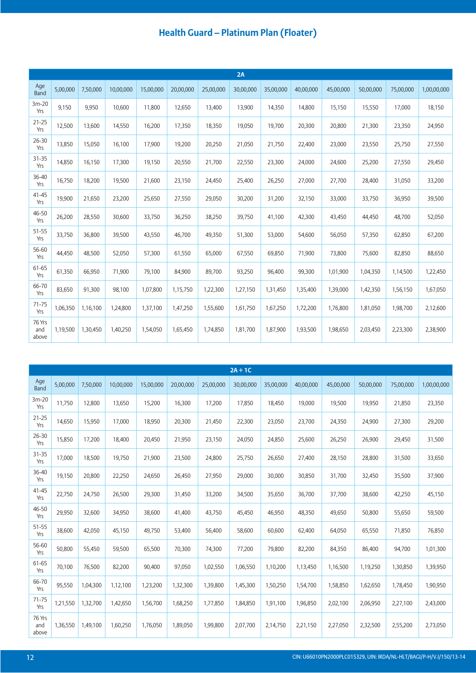|                        |          |          |           |           |           |           | 2A        |           |           |           |           |           |             |
|------------------------|----------|----------|-----------|-----------|-----------|-----------|-----------|-----------|-----------|-----------|-----------|-----------|-------------|
| Age<br><b>Band</b>     | 5,00,000 | 7,50,000 | 10,00,000 | 15,00,000 | 20,00,000 | 25,00,000 | 30,00,000 | 35,00,000 | 40,00,000 | 45,00,000 | 50,00,000 | 75,00,000 | 1,00,00,000 |
| $3m-20$<br>Yrs         | 9,150    | 9,950    | 10,600    | 11,800    | 12,650    | 13,400    | 13,900    | 14,350    | 14,800    | 15,150    | 15,550    | 17,000    | 18,150      |
| $21 - 25$<br>Yrs       | 12,500   | 13,600   | 14,550    | 16,200    | 17,350    | 18,350    | 19,050    | 19,700    | 20,300    | 20,800    | 21,300    | 23,350    | 24,950      |
| $26 - 30$<br>Yrs       | 13,850   | 15,050   | 16,100    | 17,900    | 19,200    | 20,250    | 21,050    | 21,750    | 22,400    | 23,000    | 23,550    | 25,750    | 27,550      |
| $31 - 35$<br>Yrs       | 14,850   | 16,150   | 17,300    | 19,150    | 20,550    | 21,700    | 22,550    | 23,300    | 24,000    | 24,600    | 25,200    | 27,550    | 29,450      |
| 36-40<br>Yrs           | 16,750   | 18,200   | 19,500    | 21,600    | 23,150    | 24,450    | 25,400    | 26,250    | 27,000    | 27,700    | 28,400    | 31,050    | 33,200      |
| $41 - 45$<br>Yrs       | 19,900   | 21,650   | 23,200    | 25,650    | 27,550    | 29,050    | 30,200    | 31,200    | 32,150    | 33,000    | 33,750    | 36,950    | 39,500      |
| 46-50<br>Yrs           | 26,200   | 28,550   | 30,600    | 33,750    | 36,250    | 38,250    | 39,750    | 41,100    | 42,300    | 43,450    | 44,450    | 48,700    | 52,050      |
| 51-55<br>Yrs           | 33,750   | 36,800   | 39,500    | 43,550    | 46,700    | 49,350    | 51,300    | 53,000    | 54,600    | 56,050    | 57,350    | 62,850    | 67,200      |
| 56-60<br>Yrs           | 44,450   | 48,500   | 52,050    | 57,300    | 61,550    | 65,000    | 67,550    | 69,850    | 71,900    | 73,800    | 75,600    | 82,850    | 88,650      |
| 61-65<br>Yrs           | 61,350   | 66,950   | 71,900    | 79,100    | 84,900    | 89,700    | 93,250    | 96,400    | 99,300    | 1,01,900  | 1,04,350  | 1,14,500  | 1,22,450    |
| 66-70<br>Yrs           | 83,650   | 91,300   | 98,100    | 1,07,800  | 1,15,750  | 1,22,300  | 1,27,150  | 1,31,450  | 1,35,400  | 1,39,000  | 1,42,350  | 1,56,150  | 1,67,050    |
| $71 - 75$<br>Yrs       | 1,06,350 | 1,16,100 | 1,24,800  | 1,37,100  | 1,47,250  | 1,55,600  | 1,61,750  | 1,67,250  | 1,72,200  | 1,76,800  | 1,81,050  | 1,98,700  | 2,12,600    |
| 76 Yrs<br>and<br>above | 1,19,500 | 1,30,450 | 1,40,250  | 1,54,050  | 1,65,450  | 1,74,850  | 1,81,700  | 1,87,900  | 1,93,500  | 1,98,650  | 2,03,450  | 2,23,300  | 2,38,900    |

|                        |          |          |           |           |           |           | $2A + 1C$ |           |           |           |           |           |             |
|------------------------|----------|----------|-----------|-----------|-----------|-----------|-----------|-----------|-----------|-----------|-----------|-----------|-------------|
| Age<br><b>Band</b>     | 5,00,000 | 7,50,000 | 10,00,000 | 15,00,000 | 20,00,000 | 25,00,000 | 30,00,000 | 35,00,000 | 40,00,000 | 45,00,000 | 50,00,000 | 75,00,000 | 1,00,00,000 |
| $3m-20$<br>Yrs         | 11,750   | 12,800   | 13,650    | 15,200    | 16,300    | 17,200    | 17,850    | 18,450    | 19,000    | 19,500    | 19,950    | 21,850    | 23,350      |
| $21 - 25$<br>Yrs       | 14,650   | 15,950   | 17,000    | 18,950    | 20,300    | 21,450    | 22,300    | 23,050    | 23,700    | 24,350    | 24,900    | 27,300    | 29,200      |
| 26-30<br>Yrs           | 15,850   | 17,200   | 18,400    | 20,450    | 21,950    | 23,150    | 24,050    | 24,850    | 25,600    | 26,250    | 26,900    | 29,450    | 31,500      |
| 31-35<br>Yrs           | 17,000   | 18,500   | 19,750    | 21,900    | 23,500    | 24,800    | 25,750    | 26,650    | 27,400    | 28,150    | 28,800    | 31,500    | 33,650      |
| 36-40<br>Yrs           | 19,150   | 20,800   | 22,250    | 24,650    | 26,450    | 27,950    | 29,000    | 30,000    | 30,850    | 31,700    | 32,450    | 35,500    | 37,900      |
| $41 - 45$<br>Yrs       | 22,750   | 24,750   | 26,500    | 29,300    | 31,450    | 33,200    | 34,500    | 35,650    | 36,700    | 37,700    | 38,600    | 42,250    | 45,150      |
| 46-50<br>Yrs           | 29,950   | 32,600   | 34,950    | 38,600    | 41,400    | 43,750    | 45,450    | 46,950    | 48,350    | 49,650    | 50,800    | 55,650    | 59,500      |
| 51-55<br>Yrs           | 38,600   | 42,050   | 45,150    | 49,750    | 53,400    | 56,400    | 58,600    | 60,600    | 62,400    | 64,050    | 65,550    | 71,850    | 76,850      |
| 56-60<br>Yrs           | 50,800   | 55,450   | 59,500    | 65,500    | 70,300    | 74,300    | 77,200    | 79,800    | 82,200    | 84,350    | 86,400    | 94,700    | 1,01,300    |
| 61-65<br>Yrs           | 70,100   | 76,500   | 82,200    | 90,400    | 97,050    | 1,02,550  | 1,06,550  | 1,10,200  | 1,13,450  | 1,16,500  | 1,19,250  | 1,30,850  | 1,39,950    |
| 66-70<br>Yrs           | 95,550   | 1,04,300 | 1,12,100  | 1,23,200  | 1,32,300  | 1,39,800  | 1,45,300  | 1,50,250  | 1,54,700  | 1,58,850  | 1,62,650  | 1,78,450  | 1,90,950    |
| $71 - 75$<br>Yrs       | 1,21,550 | 1,32,700 | 1,42,650  | 1,56,700  | 1,68,250  | 1,77,850  | 1,84,850  | 1,91,100  | 1,96,850  | 2,02,100  | 2,06,950  | 2,27,100  | 2,43,000    |
| 76 Yrs<br>and<br>above | 1,36,550 | 1,49,100 | 1,60,250  | 1,76,050  | 1,89,050  | 1,99,800  | 2,07,700  | 2,14,750  | 2,21,150  | 2,27,050  | 2,32,500  | 2,55,200  | 2,73,050    |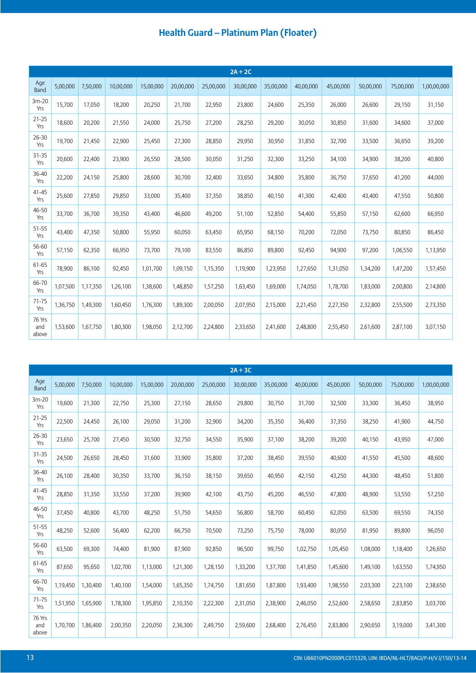|                        |          |          |           |           |           |           | $2A + 2C$ |           |           |           |           |           |             |
|------------------------|----------|----------|-----------|-----------|-----------|-----------|-----------|-----------|-----------|-----------|-----------|-----------|-------------|
| Age<br><b>Band</b>     | 5,00,000 | 7,50,000 | 10,00,000 | 15,00,000 | 20,00,000 | 25,00,000 | 30,00,000 | 35,00,000 | 40,00,000 | 45,00,000 | 50,00,000 | 75,00,000 | 1,00,00,000 |
| $3m-20$<br>Yrs         | 15,700   | 17,050   | 18,200    | 20,250    | 21,700    | 22,950    | 23,800    | 24,600    | 25,350    | 26,000    | 26,600    | 29,150    | 31,150      |
| $21 - 25$<br>Yrs       | 18,600   | 20,200   | 21,550    | 24,000    | 25,750    | 27,200    | 28,250    | 29,200    | 30,050    | 30,850    | 31,600    | 34,600    | 37,000      |
| $26 - 30$<br>Yrs       | 19,700   | 21,450   | 22,900    | 25,450    | 27,300    | 28,850    | 29,950    | 30,950    | 31,850    | 32,700    | 33,500    | 36.650    | 39,200      |
| $31 - 35$<br>Yrs       | 20,600   | 22,400   | 23,900    | 26,550    | 28,500    | 30,050    | 31,250    | 32,300    | 33,250    | 34,100    | 34,900    | 38,200    | 40,800      |
| 36-40<br>Yrs           | 22,200   | 24,150   | 25,800    | 28,600    | 30,700    | 32,400    | 33,650    | 34,800    | 35,800    | 36,750    | 37,650    | 41,200    | 44,000      |
| $41 - 45$<br>Yrs       | 25,600   | 27,850   | 29,850    | 33,000    | 35,400    | 37,350    | 38,850    | 40,150    | 41,300    | 42,400    | 43,400    | 47,550    | 50,800      |
| 46-50<br>Yrs           | 33,700   | 36,700   | 39,350    | 43,400    | 46,600    | 49,200    | 51,100    | 52,850    | 54,400    | 55,850    | 57,150    | 62,600    | 66,950      |
| 51-55<br>Yrs           | 43,400   | 47,350   | 50,800    | 55,950    | 60,050    | 63,450    | 65,950    | 68,150    | 70,200    | 72,050    | 73,750    | 80,850    | 86,450      |
| 56-60<br>Yrs           | 57,150   | 62,350   | 66,950    | 73,700    | 79,100    | 83,550    | 86,850    | 89,800    | 92,450    | 94,900    | 97,200    | 1,06,550  | 1,13,950    |
| 61-65<br>Yrs           | 78,900   | 86,100   | 92,450    | 1,01,700  | 1,09,150  | 1,15,350  | 1,19,900  | 1,23,950  | 1,27,650  | 1,31,050  | 1,34,200  | 1,47,200  | 1,57,450    |
| 66-70<br>Yrs           | 1,07,500 | 1,17,350 | 1,26,100  | 1,38,600  | 1,48,850  | 1,57,250  | 1,63,450  | 1,69,000  | 1,74,050  | 1,78,700  | 1,83,000  | 2,00,800  | 2,14,800    |
| $71 - 75$<br>Yrs       | 1,36,750 | 1,49,300 | 1,60,450  | 1,76,300  | 1,89,300  | 2,00,050  | 2,07,950  | 2,15,000  | 2,21,450  | 2,27,350  | 2,32,800  | 2,55,500  | 2,73,350    |
| 76 Yrs<br>and<br>above | 1,53,600 | 1,67,750 | 1,80,300  | 1,98,050  | 2,12,700  | 2,24,800  | 2,33,650  | 2,41,600  | 2,48,800  | 2,55,450  | 2,61,600  | 2,87,100  | 3,07,150    |

|                        |          |          |           |           |           |           | $2A + 3C$ |           |           |           |           |           |             |
|------------------------|----------|----------|-----------|-----------|-----------|-----------|-----------|-----------|-----------|-----------|-----------|-----------|-------------|
| Age<br>Band            | 5,00,000 | 7,50,000 | 10,00,000 | 15,00,000 | 20,00,000 | 25,00,000 | 30,00,000 | 35,00,000 | 40,00,000 | 45,00,000 | 50,00,000 | 75,00,000 | 1,00,00,000 |
| $3m-20$<br>Yrs         | 19,600   | 21,300   | 22,750    | 25,300    | 27,150    | 28,650    | 29,800    | 30,750    | 31,700    | 32,500    | 33,300    | 36,450    | 38,950      |
| $21 - 25$<br>Yrs       | 22,500   | 24,450   | 26,100    | 29,050    | 31,200    | 32,900    | 34,200    | 35,350    | 36,400    | 37,350    | 38,250    | 41,900    | 44,750      |
| $26 - 30$<br>Yrs       | 23,650   | 25,700   | 27,450    | 30,500    | 32,750    | 34,550    | 35,900    | 37,100    | 38,200    | 39,200    | 40,150    | 43,950    | 47,000      |
| 31-35<br>Yrs           | 24,500   | 26,650   | 28,450    | 31,600    | 33,900    | 35,800    | 37,200    | 38,450    | 39,550    | 40,600    | 41,550    | 45,500    | 48,600      |
| 36-40<br>Yrs           | 26,100   | 28,400   | 30,350    | 33,700    | 36,150    | 38,150    | 39,650    | 40,950    | 42,150    | 43,250    | 44,300    | 48,450    | 51,800      |
| $41 - 45$<br>Yrs       | 28,850   | 31,350   | 33,550    | 37,200    | 39,900    | 42,100    | 43,750    | 45,200    | 46,550    | 47,800    | 48,900    | 53,550    | 57,250      |
| 46-50<br>Yrs           | 37,450   | 40,800   | 43,700    | 48,250    | 51,750    | 54,650    | 56,800    | 58,700    | 60,450    | 62,050    | 63,500    | 69,550    | 74,350      |
| 51-55<br>Yrs           | 48,250   | 52,600   | 56,400    | 62,200    | 66,750    | 70,500    | 73,250    | 75,750    | 78,000    | 80,050    | 81,950    | 89,800    | 96,050      |
| 56-60<br>Yrs           | 63,500   | 69,300   | 74,400    | 81,900    | 87,900    | 92,850    | 96,500    | 99,750    | 1,02,750  | 1,05,450  | 1,08,000  | 1,18,400  | 1,26,650    |
| 61-65<br>Yrs           | 87,650   | 95,650   | 1,02,700  | 1,13,000  | 1,21,300  | 1,28,150  | 1,33,200  | 1,37,700  | 1,41,850  | 1,45,600  | 1,49,100  | 1,63,550  | 1,74,950    |
| 66-70<br>Yrs           | 1,19,450 | 1,30,400 | 1,40,100  | 1,54,000  | 1,65,350  | 1,74,750  | 1,81,650  | 1,87,800  | 1,93,400  | 1,98,550  | 2,03,300  | 2,23,100  | 2,38,650    |
| $71 - 75$<br>Yrs       | 1,51,950 | 1,65,900 | 1,78,300  | 1,95,850  | 2,10,350  | 2,22,300  | 2,31,050  | 2,38,900  | 2,46,050  | 2,52,600  | 2,58,650  | 2,83,850  | 3,03,700    |
| 76 Yrs<br>and<br>above | 1,70,700 | 1,86,400 | 2,00,350  | 2,20,050  | 2,36,300  | 2,49,750  | 2,59,600  | 2,68,400  | 2,76,450  | 2,83,800  | 2,90,650  | 3,19,000  | 3,41,300    |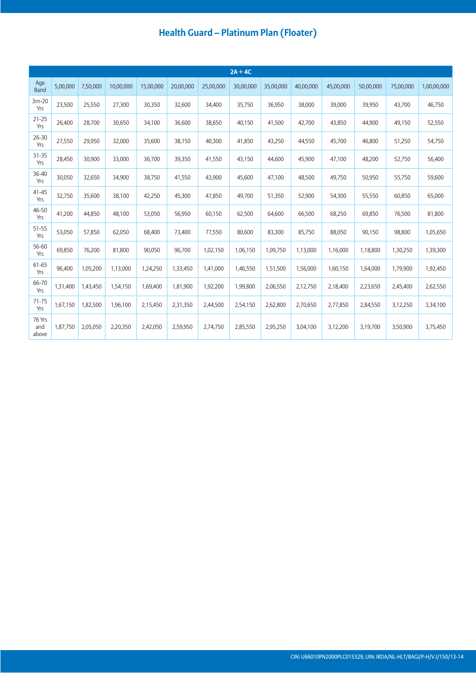|                        |          |          |           |           |           |           | $2A + 4C$ |           |           |           |           |           |             |
|------------------------|----------|----------|-----------|-----------|-----------|-----------|-----------|-----------|-----------|-----------|-----------|-----------|-------------|
| Age<br>Band            | 5,00,000 | 7,50,000 | 10,00,000 | 15,00,000 | 20,00,000 | 25,00,000 | 30,00,000 | 35,00,000 | 40,00,000 | 45,00,000 | 50,00,000 | 75,00,000 | 1,00,00,000 |
| $3m-20$<br>Yrs         | 23,500   | 25,550   | 27,300    | 30,350    | 32,600    | 34,400    | 35,750    | 36,950    | 38,000    | 39,000    | 39,950    | 43,700    | 46,750      |
| $21 - 25$<br>Yrs       | 26,400   | 28,700   | 30,650    | 34,100    | 36,600    | 38,650    | 40,150    | 41,500    | 42,700    | 43,850    | 44,900    | 49,150    | 52,550      |
| $26 - 30$<br>Yrs       | 27,550   | 29,950   | 32,000    | 35,600    | 38,150    | 40,300    | 41,850    | 43,250    | 44,550    | 45,700    | 46,800    | 51,250    | 54,750      |
| 31-35<br>Yrs           | 28,450   | 30,900   | 33,000    | 36,700    | 39,350    | 41,550    | 43,150    | 44,600    | 45,900    | 47,100    | 48,200    | 52,750    | 56,400      |
| 36-40<br>Yrs           | 30,050   | 32,650   | 34,900    | 38,750    | 41,550    | 43,900    | 45,600    | 47,100    | 48,500    | 49,750    | 50,950    | 55,750    | 59,600      |
| $41 - 45$<br>Yrs       | 32,750   | 35,600   | 38,100    | 42,250    | 45,300    | 47,850    | 49,700    | 51,350    | 52,900    | 54,300    | 55,550    | 60,850    | 65,000      |
| 46-50<br>Yrs           | 41,200   | 44,850   | 48,100    | 53,050    | 56,950    | 60,150    | 62,500    | 64,600    | 66,500    | 68,250    | 69,850    | 76,500    | 81,800      |
| 51-55<br>Yrs           | 53,050   | 57,850   | 62,050    | 68,400    | 73,400    | 77,550    | 80,600    | 83,300    | 85,750    | 88,050    | 90,150    | 98,800    | 1,05,650    |
| 56-60<br>Yrs           | 69,850   | 76,200   | 81,800    | 90,050    | 96,700    | 1,02,150  | 1,06,150  | 1,09,750  | 1,13,000  | 1,16,000  | 1,18,800  | 1,30,250  | 1,39,300    |
| 61-65<br>Yrs           | 96,400   | 1,05,200 | 1,13,000  | 1,24,250  | 1,33,450  | 1,41,000  | 1,46,550  | 1,51,500  | 1,56,000  | 1,60,150  | 1,64,000  | 1,79,900  | 1,92,450    |
| 66-70<br>Yrs           | 1,31,400 | 1,43,450 | 1,54,150  | 1,69,400  | 1,81,900  | 1,92,200  | 1,99,800  | 2,06,550  | 2,12,750  | 2,18,400  | 2,23,650  | 2,45,400  | 2,62,550    |
| $71 - 75$<br>Yrs       | 1,67,150 | 1,82,500 | 1,96,100  | 2,15,450  | 2,31,350  | 2,44,500  | 2,54,150  | 2,62,800  | 2,70,650  | 2,77,850  | 2,84,550  | 3,12,250  | 3,34,100    |
| 76 Yrs<br>and<br>above | 1,87,750 | 2,05,050 | 2,20,350  | 2,42,050  | 2,59,950  | 2,74,750  | 2,85,550  | 2,95,250  | 3,04,100  | 3,12,200  | 3,19,700  | 3,50,900  | 3,75,450    |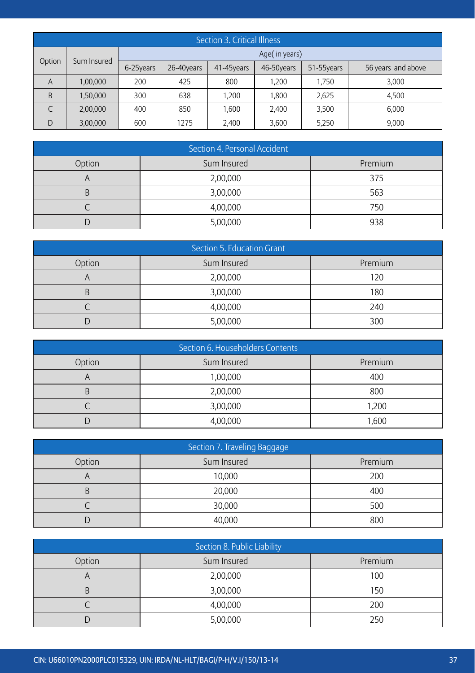|        | Section 3. Critical Illness |           |            |            |               |            |                    |  |  |  |
|--------|-----------------------------|-----------|------------|------------|---------------|------------|--------------------|--|--|--|
|        |                             |           |            |            | Age(in years) |            |                    |  |  |  |
| Option | Sum Insured                 | 6-25years | 26-40years | 41-45years | 46-50years    | 51-55years | 56 years and above |  |  |  |
| A      | 1,00,000                    | 200       | 425        | 800        | 1.200         | 1,750      | 3,000              |  |  |  |
| B      | 1,50,000                    | 300       | 638        | 1.200      | 1.800         | 2,625      | 4.500              |  |  |  |
| C      | 2,00,000                    | 400       | 850        | 1.600      | 2,400         | 3,500      | 6,000              |  |  |  |
| D      | 3,00,000                    | 600       | 1275       | 2,400      | 3,600         | 5,250      | 9,000              |  |  |  |

| Section 4. Personal Accident |             |         |  |  |  |  |  |  |
|------------------------------|-------------|---------|--|--|--|--|--|--|
| Option                       | Sum Insured | Premium |  |  |  |  |  |  |
|                              | 2,00,000    | 375     |  |  |  |  |  |  |
|                              | 3,00,000    | 563     |  |  |  |  |  |  |
|                              | 4,00,000    | 750     |  |  |  |  |  |  |
|                              | 5,00,000    | 938     |  |  |  |  |  |  |

| Section 5. Education Grant |             |         |  |  |  |  |  |  |
|----------------------------|-------------|---------|--|--|--|--|--|--|
| Option                     | Sum Insured | Premium |  |  |  |  |  |  |
|                            | 2,00,000    | 120     |  |  |  |  |  |  |
|                            | 3,00,000    | 180     |  |  |  |  |  |  |
|                            | 4,00,000    | 240     |  |  |  |  |  |  |
|                            | 5,00,000    | 300     |  |  |  |  |  |  |

|        | Section 6. Householders Contents |         |  |  |  |  |  |  |  |
|--------|----------------------------------|---------|--|--|--|--|--|--|--|
| Option | Sum Insured                      | Premium |  |  |  |  |  |  |  |
|        | 1,00,000                         | 400     |  |  |  |  |  |  |  |
|        | 2,00,000                         | 800     |  |  |  |  |  |  |  |
|        | 3,00,000                         | 1,200   |  |  |  |  |  |  |  |
|        | 4,00,000                         | 1,600   |  |  |  |  |  |  |  |

| Section 7. Traveling Baggage |             |         |  |  |  |  |  |  |  |
|------------------------------|-------------|---------|--|--|--|--|--|--|--|
| Option                       | Sum Insured | Premium |  |  |  |  |  |  |  |
|                              | 10,000      | 200     |  |  |  |  |  |  |  |
|                              | 20,000      | 400     |  |  |  |  |  |  |  |
|                              | 30,000      | 500     |  |  |  |  |  |  |  |
|                              | 40,000      | 800     |  |  |  |  |  |  |  |

| Section 8. Public Liability |             |         |
|-----------------------------|-------------|---------|
| Option                      | Sum Insured | Premium |
|                             | 2,00,000    | 100     |
|                             | 3,00,000    | 150     |
|                             | 4,00,000    | 200     |
|                             | 5,00,000    | 250     |